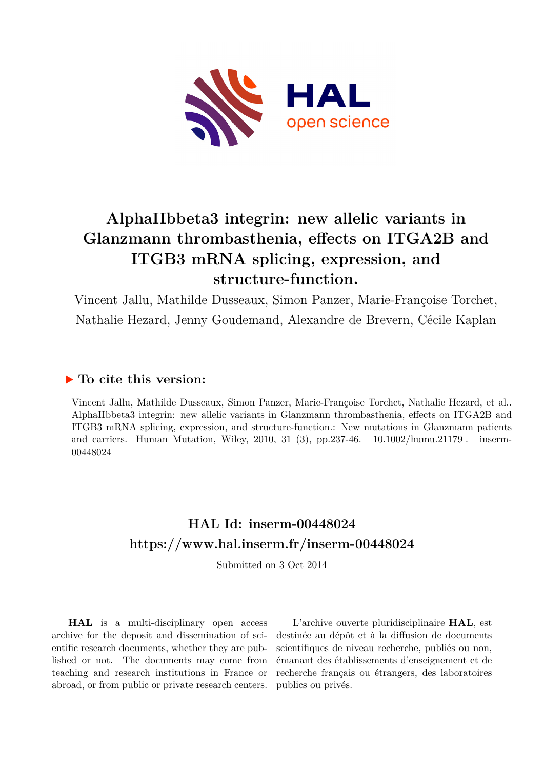

# **AlphaIIbbeta3 integrin: new allelic variants in Glanzmann thrombasthenia, effects on ITGA2B and ITGB3 mRNA splicing, expression, and structure-function.**

Vincent Jallu, Mathilde Dusseaux, Simon Panzer, Marie-Françoise Torchet, Nathalie Hezard, Jenny Goudemand, Alexandre de Brevern, Cécile Kaplan

## **To cite this version:**

Vincent Jallu, Mathilde Dusseaux, Simon Panzer, Marie-Françoise Torchet, Nathalie Hezard, et al.. AlphaIIbbeta3 integrin: new allelic variants in Glanzmann thrombasthenia, effects on ITGA2B and ITGB3 mRNA splicing, expression, and structure-function.: New mutations in Glanzmann patients and carriers. Human Mutation, Wiley, 2010, 31 (3), pp.237-46.  $10.1002/h$ umu.21179. inserm-00448024ff

## **HAL Id: inserm-00448024 <https://www.hal.inserm.fr/inserm-00448024>**

Submitted on 3 Oct 2014

**HAL** is a multi-disciplinary open access archive for the deposit and dissemination of scientific research documents, whether they are published or not. The documents may come from teaching and research institutions in France or abroad, or from public or private research centers.

L'archive ouverte pluridisciplinaire **HAL**, est destinée au dépôt et à la diffusion de documents scientifiques de niveau recherche, publiés ou non, émanant des établissements d'enseignement et de recherche français ou étrangers, des laboratoires publics ou privés.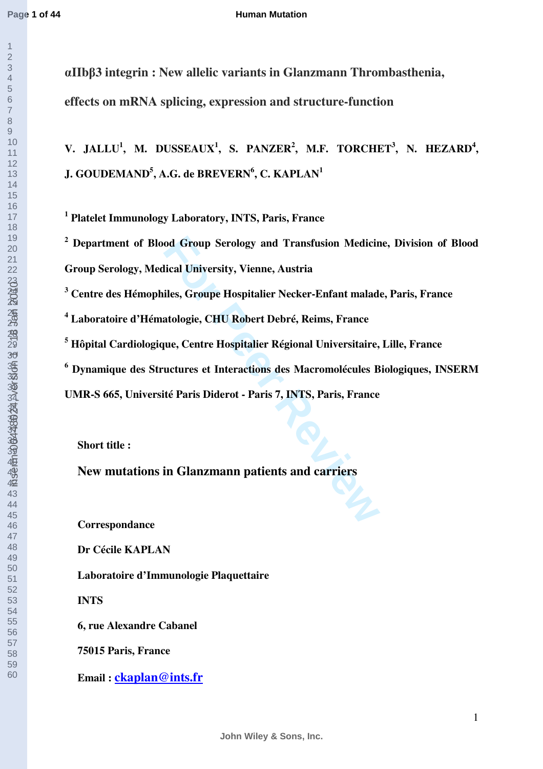**Page 1 of 44**

 

#### **Human Mutation**

α**IIb**β**3 integrin : New allelic variants in Glanzmann Thrombasthenia, effects on mRNA splicing, expression and structure-function** 

V. JALLU<sup>1</sup>, M. DUSSEAUX<sup>1</sup>, S. PANZER<sup>2</sup>, M.F. TORCHET<sup>3</sup>, N. HEZARD<sup>4</sup>, **J. GOUDEMAND<sup>5</sup> , A.G. de BREVERN<sup>6</sup> , C. KAPLAN<sup>1</sup>**

 **Platelet Immunology Laboratory, INTS, Paris, France** 

od Group Serology and Transfusion Medicir<br> **Follow Exercise Service Andeles, Groupe Hospitalier Necker-Enfant malad**<br> **Follow Exercise Andelogie, CHU Robert Debré, Reims, France<br>
Jue, Centre Hospitalier Régional Universita Department of Blood Group Serology and Transfusion Medicine, Division of Blood Group Serology, Medical University, Vienne, Austria** 

 **Centre des Hémophiles, Groupe Hospitalier Necker-Enfant malade, Paris, France** 

 **Laboratoire d'Hématologie, CHU Robert Debré, Reims, France** 

 **Hôpital Cardiologique, Centre Hospitalier Régional Universitaire, Lille, France** 

 **Dynamique des Structures et Interactions des Macromolécules Biologiques, INSERM** 

**UMR-S 665, Université Paris Diderot - Paris 7, INTS, Paris, France** 

**Short title :** 

**New mutations in Glanzmann patients and carriers** 

**Correspondance** 

**Dr Cécile KAPLAN** 

**Laboratoire d'Immunologie Plaquettaire** 

**INTS** 

**6, rue Alexandre Cabanel** 

**75015 Paris, France** 

**Email : [ckaplan@ints.fr](mailto:ckaplan@ints.fr)**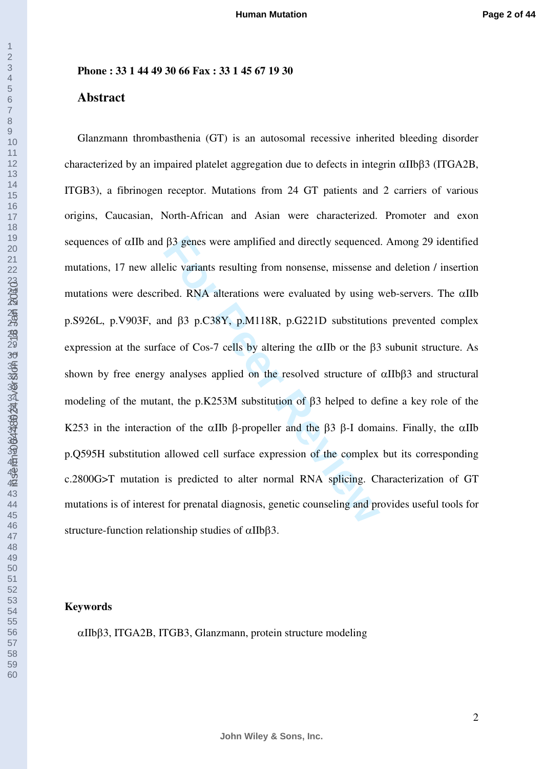## **Phone : 33 1 44 49 30 66 Fax : 33 1 45 67 19 30**

## **Abstract**

 $β3$  genes were amplified and directly sequenced<br>elic variants resulting from nonsense, missense a<br>bed. RNA alterations were evaluated by using v<br>and  $β3$  p.C38Y, p.M118R, p.G221D substitution<br>ace of Cos-7 cells by alter Glanzmann thrombasthenia (GT) is an autosomal recessive inherited bleeding disorder characterized by an impaired platelet aggregation due to defects in integrin  $\alpha$ IIbβ3 (ITGA2B, ITGB3), a fibrinogen receptor. Mutations from 24 GT patients and 2 carriers of various origins, Caucasian, North-African and Asian were characterized. Promoter and exon sequences of αIIb and β3 genes were amplified and directly sequenced. Among 29 identified mutations, 17 new allelic variants resulting from nonsense, missense and deletion / insertion mutations were described. RNA alterations were evaluated by using web-servers. The  $\alpha$ IIb p.S926L, p.V903F, and β3 p.C38Y, p.M118R, p.G221D substitutions prevented complex expression at the surface of Cos-7 cells by altering the αIIb or the β3 subunit structure. As shown by free energy analyses applied on the resolved structure of αIIbβ3 and structural modeling of the mutant, the p.K253M substitution of β3 helped to define a key role of the K253 in the interaction of the αIIb β-propeller and the β3 β-I domains. Finally, the αIIb p.Q595H substitution allowed cell surface expression of the complex but its corresponding c.2800G>T mutation is predicted to alter normal RNA splicing. Characterization of GT mutations is of interest for prenatal diagnosis, genetic counseling and provides useful tools for structure-function relationship studies of αIIbβ3.

## **Keywords**

αIIbβ3, ITGA2B, ITGB3, Glanzmann, protein structure modeling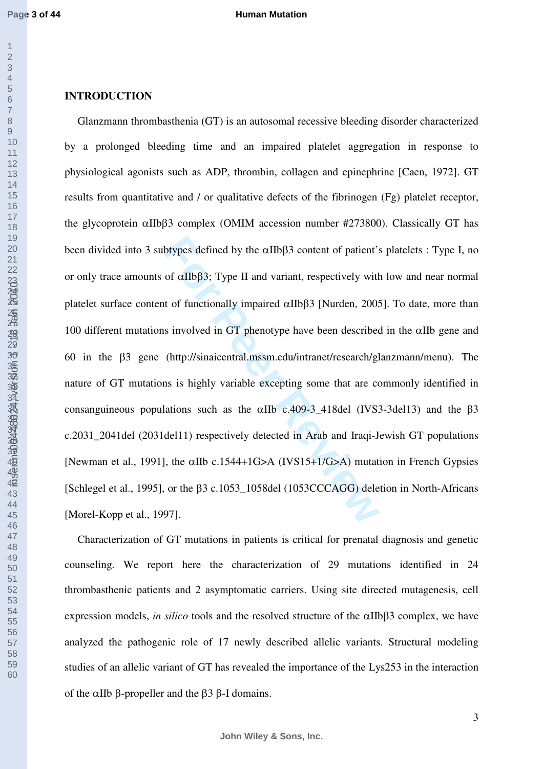## **INTRODUCTION**

btypes defined by the αIIbβ3 content of patient's<br>of αIIbβ3; Type II and variant, respectively with<br>t of functionally impaired αIIbβ3 [Nurden, 2005<br>s involved in GT phenotype have been described<br>(http://sinaicentral.mssm. Glanzmann thrombasthenia (GT) is an autosomal recessive bleeding disorder characterized by a prolonged bleeding time and an impaired platelet aggregation in response to physiological agonists such as ADP, thrombin, collagen and epinephrine [Caen, 1972]. GT results from quantitative and / or qualitative defects of the fibrinogen (Fg) platelet receptor, the glycoprotein αIIbβ3 complex (OMIM accession number #273800). Classically GT has been divided into 3 subtypes defined by the αIIbβ3 content of patient's platelets : Type I, no or only trace amounts of  $\alpha$ IIbβ3; Type II and variant, respectively with low and near normal platelet surface content of functionally impaired αIIbβ3 [Nurden, 2005]. To date, more than 100 different mutations involved in GT phenotype have been described in the  $\alpha$ IIb gene and 60 in the β3 gene (http://sinaicentral.mssm.edu/intranet/research/glanzmann/menu). The nature of GT mutations is highly variable excepting some that are commonly identified in consanguineous populations such as the  $\alpha$ IIb c.409-3\_418del (IVS3-3del13) and the β3 c.2031\_2041del (2031del11) respectively detected in Arab and Iraqi-Jewish GT populations [Newman et al., 1991], the αIIb c.1544+1G>A (IVS15+1/G>A) mutation in French Gypsies [Schlegel et al., 1995], or the 63 c.1053 1058del (1053CCCAGG) deletion in North-Africans [Morel-Kopp et al., 1997].

Characterization of GT mutations in patients is critical for prenatal diagnosis and genetic counseling. We report here the characterization of 29 mutations identified in 24 thrombasthenic patients and 2 asymptomatic carriers. Using site directed mutagenesis, cell expression models, *in silico* tools and the resolved structure of the αIIbβ3 complex, we have analyzed the pathogenic role of 17 newly described allelic variants. Structural modeling studies of an allelic variant of GT has revealed the importance of the Lys253 in the interaction of the αIIb β-propeller and the β3 β-I domains.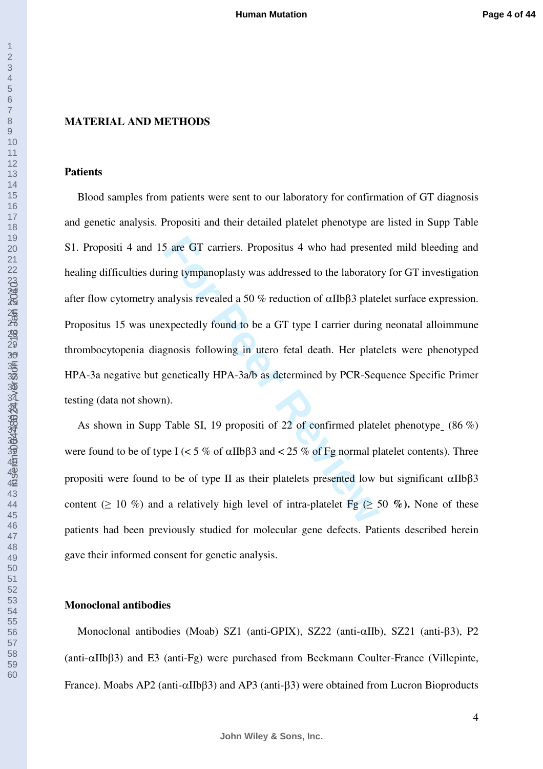#### **MATERIAL AND METHODS**

#### **Patients**

5 are GT carriers. Propositus 4 who had present<br>ing tympanoplasty was addressed to the laborator<br>nalysis revealed a 50 % reduction of  $\alpha$ IIb $\beta$ 3 plate<br>expectedly found to be a GT type I carrier during<br>genosis following Blood samples from patients were sent to our laboratory for confirmation of GT diagnosis and genetic analysis. Propositi and their detailed platelet phenotype are listed in Supp Table S1. Propositi 4 and 15 are GT carriers. Propositus 4 who had presented mild bleeding and healing difficulties during tympanoplasty was addressed to the laboratory for GT investigation after flow cytometry analysis revealed a 50 % reduction of αIIbβ3 platelet surface expression. Propositus 15 was unexpectedly found to be a GT type I carrier during neonatal alloimmune thrombocytopenia diagnosis following in utero fetal death. Her platelets were phenotyped HPA-3a negative but genetically HPA-3a/b as determined by PCR-Sequence Specific Primer testing (data not shown).

As shown in Supp Table SI, 19 propositi of 22 of confirmed platelet phenotype (86 %) were found to be of type I ( $\lt 5\%$  of  $\alpha$ IIb $\beta$ 3 and  $\lt 25\%$  of Fg normal platelet contents). Three propositi were found to be of type II as their platelets presented low but significant αIIbβ3 content ( $\geq 10\%$ ) and a relatively high level of intra-platelet Fg ( $\geq 50\%$ ). None of these patients had been previously studied for molecular gene defects. Patients described herein gave their informed consent for genetic analysis.

### **Monoclonal antibodies**

Monoclonal antibodies (Moab) SZ1 (anti-GPIX), SZ22 (anti-αIIb), SZ21 (anti-β3), P2 (anti-αIIbβ3) and E3 (anti-Fg) were purchased from Beckmann Coulter-France (Villepinte, France). Moabs AP2 (anti-αIIbβ3) and AP3 (anti-β3) were obtained from Lucron Bioproducts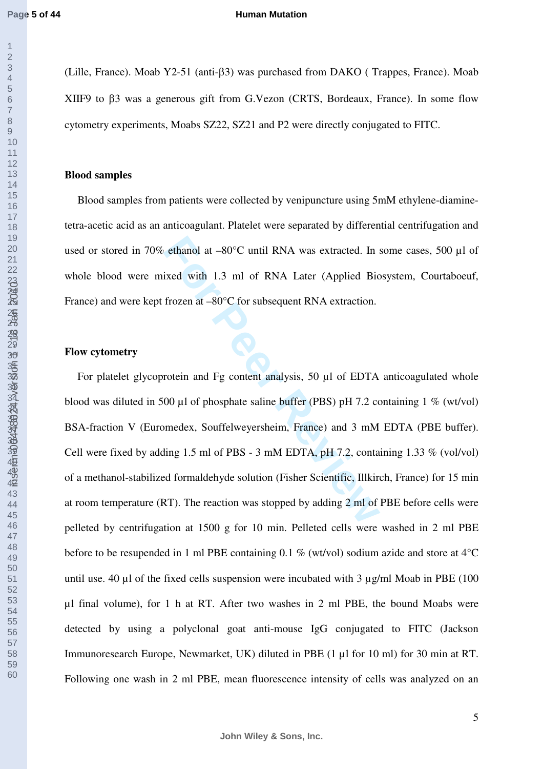inserm-00448024, version 1 - 18 Jan 2010

#### **Human Mutation**

(Lille, France). Moab Y2-51 (anti-β3) was purchased from DAKO ( Trappes, France). Moab XIIF9 to β3 was a generous gift from G.Vezon (CRTS, Bordeaux, France). In some flow cytometry experiments, Moabs SZ22, SZ21 and P2 were directly conjugated to FITC.

## **Blood samples**

Blood samples from patients were collected by venipuncture using 5mM ethylene-diaminetetra-acetic acid as an anticoagulant. Platelet were separated by differential centrifugation and used or stored in 70% ethanol at –80°C until RNA was extracted. In some cases, 500 µl of whole blood were mixed with 1.3 ml of RNA Later (Applied Biosystem, Courtaboeuf, France) and were kept frozen at –80 $^{\circ}$ C for subsequent RNA extraction.

## **Flow cytometry**

ethanol at  $-80^{\circ}$ C until RNA was extracted. In sixed with 1.3 ml of RNA Later (Applied Bic<br>frozen at  $-80^{\circ}$ C for subsequent RNA extraction.<br>The Peer Reviewer Reviewer RNA extraction.<br>The Peer Reviewer RNA extraction For platelet glycoprotein and Fg content analysis, 50 ul of EDTA anticoagulated whole blood was diluted in 500 µl of phosphate saline buffer (PBS) pH 7.2 containing 1 % (wt/vol) BSA-fraction V (Euromedex, Souffelweyersheim, France) and 3 mM EDTA (PBE buffer). Cell were fixed by adding 1.5 ml of PBS - 3 mM EDTA, pH 7.2, containing 1.33 % (vol/vol) of a methanol-stabilized formaldehyde solution (Fisher Scientific, Illkirch, France) for 15 min at room temperature (RT). The reaction was stopped by adding 2 ml of PBE before cells were pelleted by centrifugation at 1500 g for 10 min. Pelleted cells were washed in 2 ml PBE before to be resupended in 1 ml PBE containing 0.1 % (wt/vol) sodium azide and store at 4°C until use. 40  $\mu$ l of the fixed cells suspension were incubated with 3  $\mu$ g/ml Moab in PBE (100) µl final volume), for 1 h at RT. After two washes in 2 ml PBE, the bound Moabs were detected by using a polyclonal goat anti-mouse IgG conjugated to FITC (Jackson Immunoresearch Europe, Newmarket, UK) diluted in PBE (1 µl for 10 ml) for 30 min at RT. Following one wash in 2 ml PBE, mean fluorescence intensity of cells was analyzed on an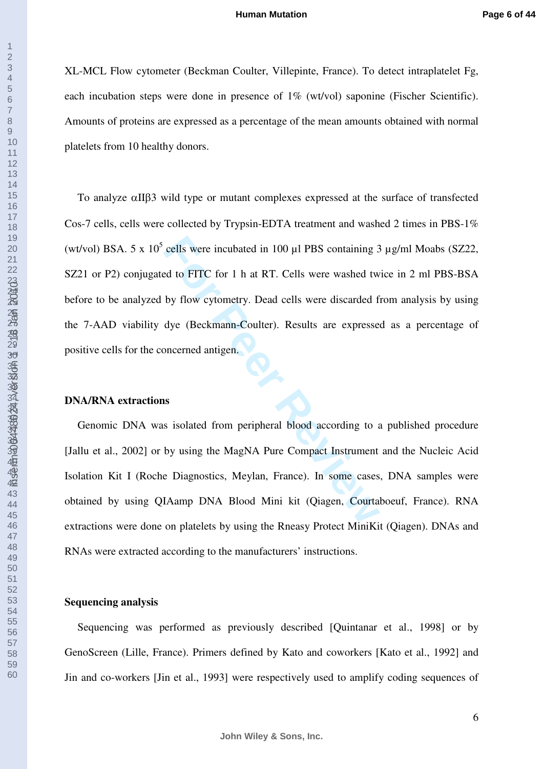XL-MCL Flow cytometer (Beckman Coulter, Villepinte, France). To detect intraplatelet Fg, each incubation steps were done in presence of 1% (wt/vol) saponine (Fischer Scientific). Amounts of proteins are expressed as a percentage of the mean amounts obtained with normal platelets from 10 healthy donors.

cells were incubated in 100 µl PBS containing 3<br>
Ed to FITC for 1 h at RT. Cells were washed tw<br>
by flow cytometry. Dead cells were discarded f<br>
dye (Beckmann-Coulter). Results are expresse<br>
pncerned antigen.<br> **Soluted fro** To analyze αIIβ3 wild type or mutant complexes expressed at the surface of transfected Cos-7 cells, cells were collected by Trypsin-EDTA treatment and washed 2 times in PBS-1% (wt/vol) BSA. 5 x  $10^5$  cells were incubated in 100  $\mu$ l PBS containing 3  $\mu$ g/ml Moabs (SZ22, SZ21 or P2) conjugated to FITC for 1 h at RT. Cells were washed twice in 2 ml PBS-BSA before to be analyzed by flow cytometry. Dead cells were discarded from analysis by using the 7-AAD viability dye (Beckmann-Coulter). Results are expressed as a percentage of positive cells for the concerned antigen.

## **DNA/RNA extractions**

inserm-00448024, version 1 - 18 Jan 2010

Genomic DNA was isolated from peripheral blood according to a published procedure [Jallu et al., 2002] or by using the MagNA Pure Compact Instrument and the Nucleic Acid Isolation Kit I (Roche Diagnostics, Meylan, France). In some cases, DNA samples were obtained by using QIAamp DNA Blood Mini kit (Qiagen, Courtaboeuf, France). RNA extractions were done on platelets by using the Rneasy Protect MiniKit (Qiagen). DNAs and RNAs were extracted according to the manufacturers' instructions.

## **Sequencing analysis**

Sequencing was performed as previously described [Quintanar et al., 1998] or by GenoScreen (Lille, France). Primers defined by Kato and coworkers [Kato et al., 1992] and Jin and co-workers [Jin et al., 1993] were respectively used to amplify coding sequences of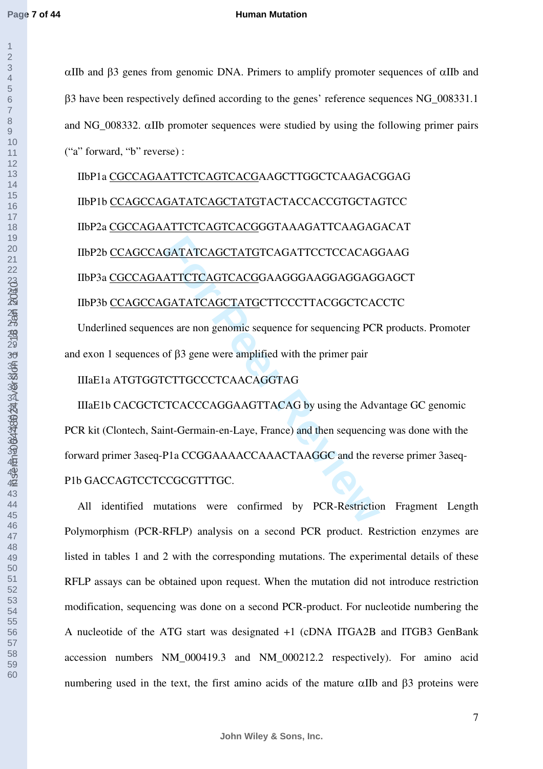#### **Human Mutation**

αIIb and β3 genes from genomic DNA. Primers to amplify promoter sequences of αIIb and β3 have been respectively defined according to the genes' reference sequences NG\_008331.1 and NG\_008332. αIIb promoter sequences were studied by using the following primer pairs ("a" forward, "b" reverse) :

IIbP1a CGCCAGAATTCTCAGTCACGAAGCTTGGCTCAAGACGGAG IIbP1b CCAGCCAGATATCAGCTATGTACTACCACCGTGCTAGTCC IIbP2a CGCCAGAATTCTCAGTCACGGGTAAAGATTCAAGAGACAT IIbP2b CCAGCCAGATATCAGCTATGTCAGATTCCTCCACAGGAAG IIbP3a CGCCAGAATTCTCAGTCACGGAAGGGAAGGAGGAGGAGCT IIbP3b CCAGCCAGATATCAGCTATGCTTCCCTTACGGCTCACCTC

Underlined sequences are non genomic sequence for sequencing PCR products. Promoter and exon 1 sequences of β3 gene were amplified with the primer pair

IIIaE1a ATGTGGTCTTGCCCTCAACAGGTAG

**GATATCAGCTATGTCAGATTCCTCCACAGC**<br> **FORTATCAGTCACGGAAGGGAAGGAGGAGG**<br> **FORTATCAGTCACGGAAGGGAAGGAGGAGG**<br> **FORTATCAGTTATGCTTCCCTTACGGCTCAC**<br> **FORTATCAGTTACAGGTAG**<br> **FORTATGCCCTCAACAGGTAGG**<br> **FORTATGCCTCAACAGGTAGG**<br> **FORTATGES** IIIaE1b CACGCTCTCACCCAGGAAGTTACAG by using the Advantage GC genomic PCR kit (Clontech, Saint-Germain-en-Laye, France) and then sequencing was done with the forward primer 3aseq-P1a CCGGAAAACCAAACTAAGGC and the reverse primer 3aseq-P1b GACCAGTCCTCCGCGTTTGC.

All identified mutations were confirmed by PCR-Restriction Fragment Length Polymorphism (PCR-RFLP) analysis on a second PCR product. Restriction enzymes are listed in tables 1 and 2 with the corresponding mutations. The experimental details of these RFLP assays can be obtained upon request. When the mutation did not introduce restriction modification, sequencing was done on a second PCR-product. For nucleotide numbering the A nucleotide of the ATG start was designated +1 (cDNA ITGA2B and ITGB3 GenBank accession numbers NM\_000419.3 and NM\_000212.2 respectively). For amino acid numbering used in the text, the first amino acids of the mature  $\alpha$ IIb and  $\beta$ 3 proteins were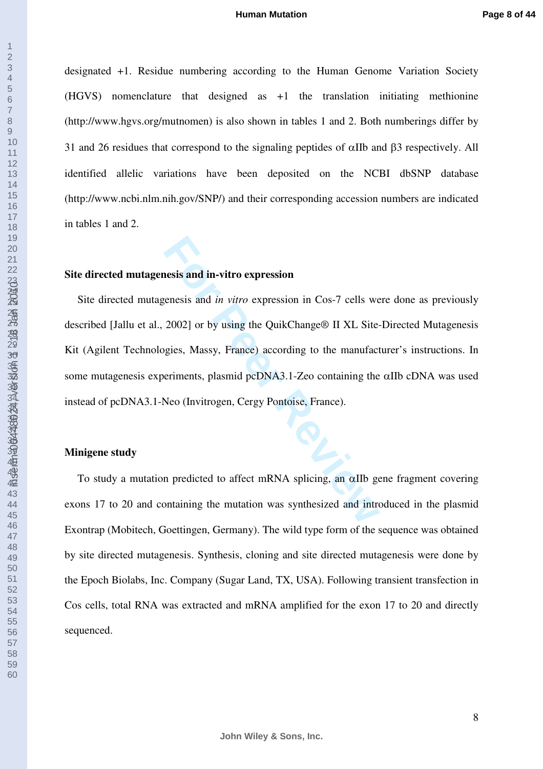designated +1. Residue numbering according to the Human Genome Variation Society (HGVS) nomenclature that designed as +1 the translation initiating methionine (http://www.hgvs.org/mutnomen) is also shown in tables 1 and 2. Both numberings differ by 31 and 26 residues that correspond to the signaling peptides of αIIb and β3 respectively. All identified allelic variations have been deposited on the NCBI dbSNP database (http://www.ncbi.nlm.nih.gov/SNP/) and their corresponding accession numbers are indicated in tables 1 and 2.

## **Site directed mutagenesis and in-vitro expression**

**Formal Solution**<br> **Formal Solution Extending to the Matter**<br> **Formal Solution Extending to the manufact**<br> **Formal Solution Exterior Solution**<br> **Formal Solution External Solution Property Containing the Neo (Invitrogen, Ce** Site directed mutagenesis and *in vitro* expression in Cos-7 cells were done as previously described [Jallu et al., 2002] or by using the QuikChange® II XL Site-Directed Mutagenesis Kit (Agilent Technologies, Massy, France) according to the manufacturer's instructions. In some mutagenesis experiments, plasmid pcDNA3.1-Zeo containing the αIIb cDNA was used instead of pcDNA3.1-Neo (Invitrogen, Cergy Pontoise, France).

## **Minigene study**

To study a mutation predicted to affect mRNA splicing, an αIIb gene fragment covering exons 17 to 20 and containing the mutation was synthesized and introduced in the plasmid Exontrap (Mobitech, Goettingen, Germany). The wild type form of the sequence was obtained by site directed mutagenesis. Synthesis, cloning and site directed mutagenesis were done by the Epoch Biolabs, Inc. Company (Sugar Land, TX, USA). Following transient transfection in Cos cells, total RNA was extracted and mRNA amplified for the exon 17 to 20 and directly sequenced.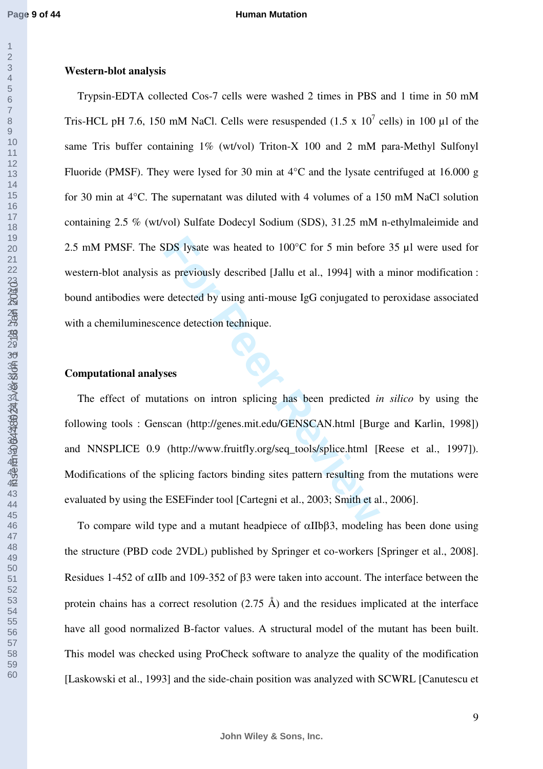#### **Human Mutation**

## **Western-blot analysis**

Trypsin-EDTA collected Cos-7 cells were washed 2 times in PBS and 1 time in 50 mM Tris-HCL pH 7.6, 150 mM NaCl. Cells were resuspended (1.5 x  $10^7$  cells) in 100 µl of the same Tris buffer containing 1% (wt/vol) Triton-X 100 and 2 mM para-Methyl Sulfonyl Fluoride (PMSF). They were lysed for 30 min at 4°C and the lysate centrifuged at 16.000 g for 30 min at 4°C. The supernatant was diluted with 4 volumes of a 150 mM NaCl solution containing 2.5 % (wt/vol) Sulfate Dodecyl Sodium (SDS), 31.25 mM n-ethylmaleimide and 2.5 mM PMSF. The SDS lysate was heated to 100°C for 5 min before 35 µl were used for western-blot analysis as previously described [Jallu et al., 1994] with a minor modification : bound antibodies were detected by using anti-mouse IgG conjugated to peroxidase associated with a chemiluminescence detection technique.

## **Computational analyses**

**For Perrond System Was heated to 100°C for 5 min beformally described [Jallu et al., 1994] with a detected by using anti-mouse IgG conjugated to the detected by using anti-mouse IgG conjugated to the detection technique.<br>** The effect of mutations on intron splicing has been predicted *in silico* by using the following tools : Genscan (http://genes.mit.edu/GENSCAN.html [Burge and Karlin, 1998]) and NNSPLICE 0.9 (http://www.fruitfly.org/seq\_tools/splice.html [Reese et al., 1997]). Modifications of the splicing factors binding sites pattern resulting from the mutations were evaluated by using the ESEFinder tool [Cartegni et al., 2003; Smith et al., 2006].

To compare wild type and a mutant headpiece of  $\alpha IIB\beta3$ , modeling has been done using the structure (PBD code 2VDL) published by Springer et co-workers [Springer et al., 2008]. Residues 1-452 of αIIb and 109-352 of β3 were taken into account. The interface between the protein chains has a correct resolution  $(2.75 \text{ Å})$  and the residues implicated at the interface have all good normalized B-factor values. A structural model of the mutant has been built. This model was checked using ProCheck software to analyze the quality of the modification [Laskowski et al., 1993] and the side-chain position was analyzed with SCWRL [Canutescu et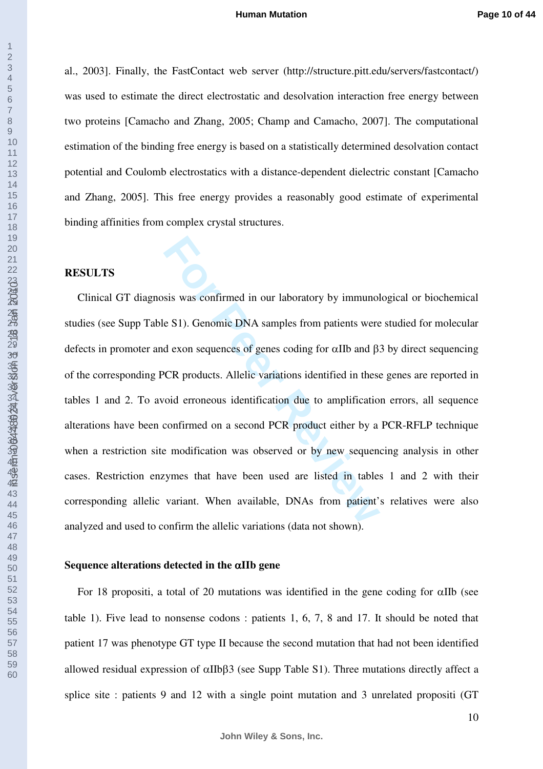al., 2003]. Finally, the FastContact web server (http://structure.pitt.edu/servers/fastcontact/) was used to estimate the direct electrostatic and desolvation interaction free energy between two proteins [Camacho and Zhang, 2005; Champ and Camacho, 2007]. The computational estimation of the binding free energy is based on a statistically determined desolvation contact potential and Coulomb electrostatics with a distance-dependent dielectric constant [Camacho and Zhang, 2005]. This free energy provides a reasonably good estimate of experimental binding affinities from complex crystal structures.

## **RESULTS**

SSI was confirmed in our laboratory by immunol<br>
E S1). Genomic DNA samples from patients were<br>
d exon sequences of genes coding for αIIb and β<br>
FCR products. Allelic variations identified in these<br>
oid erroneous identific Clinical GT diagnosis was confirmed in our laboratory by immunological or biochemical studies (see Supp Table S1). Genomic DNA samples from patients were studied for molecular defects in promoter and exon sequences of genes coding for αIIb and β3 by direct sequencing of the corresponding PCR products. Allelic variations identified in these genes are reported in tables 1 and 2. To avoid erroneous identification due to amplification errors, all sequence alterations have been confirmed on a second PCR product either by a PCR-RFLP technique when a restriction site modification was observed or by new sequencing analysis in other cases. Restriction enzymes that have been used are listed in tables 1 and 2 with their corresponding allelic variant. When available, DNAs from patient's relatives were also analyzed and used to confirm the allelic variations (data not shown).

## **Sequence alterations detected in the** α**IIb gene**

For 18 propositi, a total of 20 mutations was identified in the gene coding for  $\alpha$ IIb (see table 1). Five lead to nonsense codons : patients 1, 6, 7, 8 and 17. It should be noted that patient 17 was phenotype GT type II because the second mutation that had not been identified allowed residual expression of αIIbβ3 (see Supp Table S1). Three mutations directly affect a splice site : patients 9 and 12 with a single point mutation and 3 unrelated propositi (GT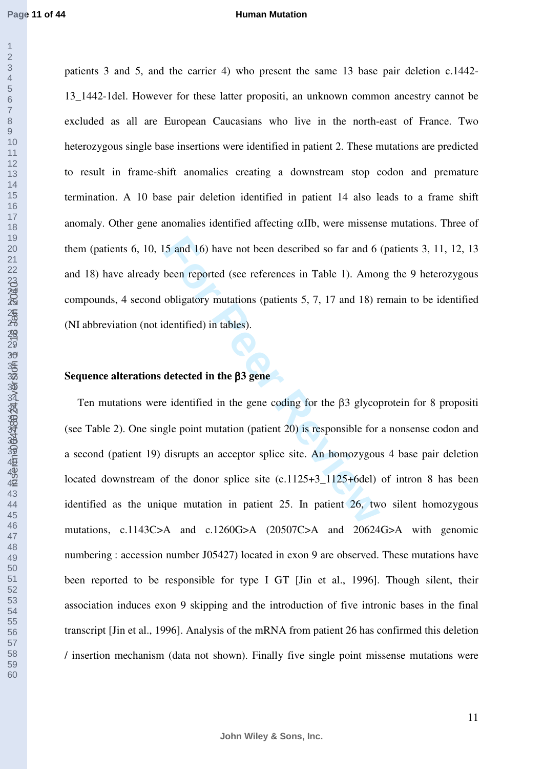#### **Human Mutation**

patients 3 and 5, and the carrier 4) who present the same 13 base pair deletion c.1442- 13\_1442-1del. However for these latter propositi, an unknown common ancestry cannot be excluded as all are European Caucasians who live in the north-east of France. Two heterozygous single base insertions were identified in patient 2. These mutations are predicted to result in frame-shift anomalies creating a downstream stop codon and premature termination. A 10 base pair deletion identified in patient 14 also leads to a frame shift anomaly. Other gene anomalies identified affecting αIIb, were missense mutations. Three of them (patients 6, 10, 15 and 16) have not been described so far and 6 (patients 3, 11, 12, 13 and 18) have already been reported (see references in Table 1). Among the 9 heterozygous compounds, 4 second obligatory mutations (patients 5, 7, 17 and 18) remain to be identified (NI abbreviation (not identified) in tables).

## **Sequence alterations detected in the** β**3 gene**

5 and 16) have not been described so far and 6<br>been reported (see references in Table 1). Amon<br>obligatory mutations (patients 5, 7, 17 and 18) r<br>dentified) in tables).<br>**detected in the**  $\beta$ **3 gene**<br>e identified in the gene Ten mutations were identified in the gene coding for the β3 glycoprotein for 8 propositi (see Table 2). One single point mutation (patient ) is responsible for a nonsense codon and a second (patient 19) disrupts an acceptor splice site. An homozygous 4 base pair deletion located downstream of the donor splice site  $(c.1125+3.1125+6del)$  of intron 8 has been identified as the unique mutation in patient 25. In patient 26, two silent homozygous mutations, c.1143C>A and c.1260G>A (20507C>A and 20624G>A with genomic numbering : accession number J05427) located in exon 9 are observed. These mutations have been reported to be responsible for type I GT [Jin et al., 1996]. Though silent, their association induces exon 9 skipping and the introduction of five intronic bases in the final transcript [Jin et al., 1996]. Analysis of the mRNA from patient 26 has confirmed this deletion / insertion mechanism (data not shown). Finally five single point missense mutations were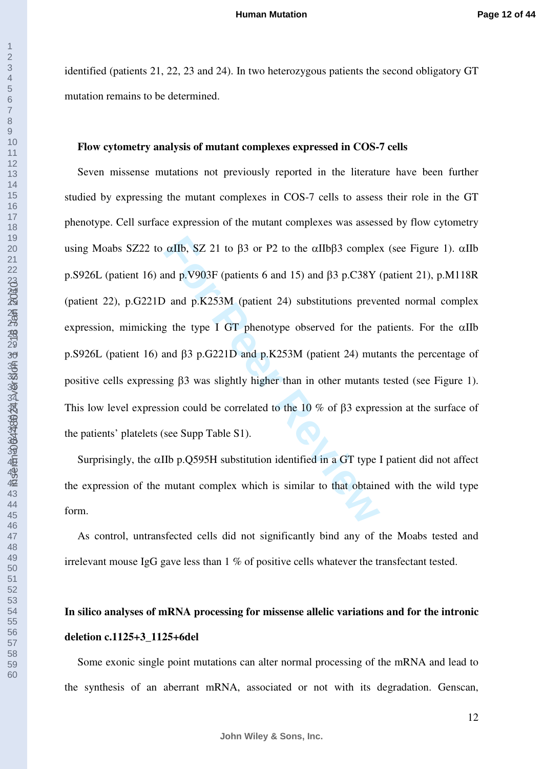identified (patients 21, 22, 23 and 24). In two heterozygous patients the second obligatory GT mutation remains to be determined.

## **Flow cytometry analysis of mutant complexes expressed in COS-7 cells**

αIIb, SZ 21 to β3 or P2 to the αIIbβ3 complet<br>
Ind p.V903F (patients 6 and 15) and β3 p.C38Y<br> **For PEACIL 19** and p.K253M (patient 24) substitutions prever<br>
g the type I GT phenotype observed for the p<br>
and β3 p.G221D an Seven missense mutations not previously reported in the literature have been further studied by expressing the mutant complexes in COS-7 cells to assess their role in the GT phenotype. Cell surface expression of the mutant complexes was assessed by flow cytometry using Moabs SZ22 to  $\alpha$ IIb, SZ 21 to β3 or P2 to the  $\alpha$ IIbβ3 complex (see Figure 1).  $\alpha$ IIb p.S926L (patient 16) and p.V903F (patients 6 and 15) and β3 p.C38Y (patient 21), p.M118R (patient 22), p.G221D and p.K253M (patient 24) substitutions prevented normal complex expression, mimicking the type I GT phenotype observed for the patients. For the  $\alpha$ IIb p.S926L (patient 16) and β3 p.G221D and p.K253M (patient 24) mutants the percentage of positive cells expressing β3 was slightly higher than in other mutants tested (see Figure 1). This low level expression could be correlated to the 10 % of β3 expression at the surface of the patients' platelets (see Supp Table S1).

Surprisingly, the αIIb p.Q595H substitution identified in a GT type I patient did not affect the expression of the mutant complex which is similar to that obtained with the wild type form.

As control, untransfected cells did not significantly bind any of the Moabs tested and irrelevant mouse IgG gave less than 1 % of positive cells whatever the transfectant tested.

## **In silico analyses of mRNA processing for missense allelic variations and for the intronic deletion c.1125+3\_1125+6del**

Some exonic single point mutations can alter normal processing of the mRNA and lead to the synthesis of an aberrant mRNA, associated or not with its degradation. Genscan,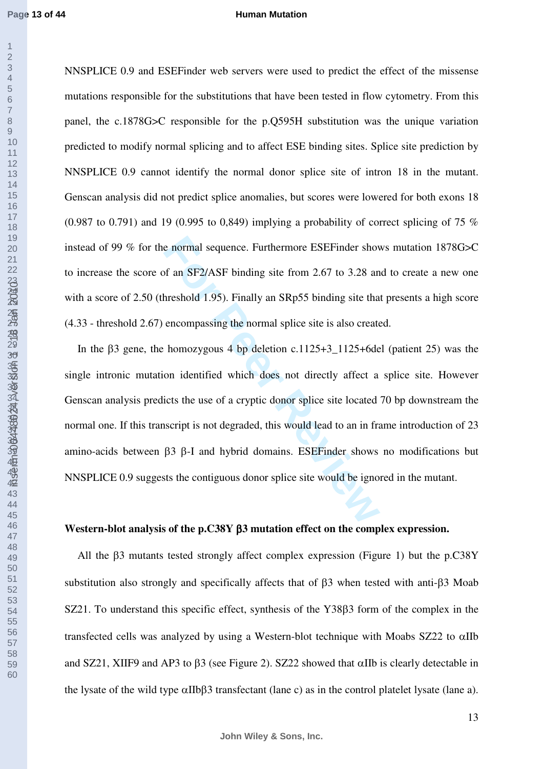#### **Human Mutation**

NNSPLICE 0.9 and ESEFinder web servers were used to predict the effect of the missense mutations responsible for the substitutions that have been tested in flow cytometry. From this panel, the c.1878G>C responsible for the p.Q595H substitution was the unique variation predicted to modify normal splicing and to affect ESE binding sites. Splice site prediction by NNSPLICE 0.9 cannot identify the normal donor splice site of intron 18 in the mutant. Genscan analysis did not predict splice anomalies, but scores were lowered for both exons 18 (0.987 to 0.791) and 19 (0.995 to 0.849) implying a probability of correct splicing of 75  $\%$ instead of 99 % for the normal sequence. Furthermore ESEFinder shows mutation 1878G>C to increase the score of an SF2/ASF binding site from 2.67 to 3.28 and to create a new one with a score of 2.50 (threshold 1.95). Finally an SRp55 binding site that presents a high score (4.33 - threshold 2.67) encompassing the normal splice site is also created.

e normal sequence. Furthermore ESEFinder show<br>of an SF2/ASF binding site from 2.67 to 3.28 an<br>hreshold 1.95). Finally an SRp55 binding site tha<br>encompassing the normal splice site is also create<br>homozygous 4 bp deletion In the β3 gene, the homozygous 4 bp deletion c.1125+3\_1125+6del (patient 25) was the single intronic mutation identified which does not directly affect a splice site. However Genscan analysis predicts the use of a cryptic donor splice site located 70 bp downstream the normal one. If this transcript is not degraded, this would lead to an in frame introduction of 23 amino-acids between β3 β-I and hybrid domains. ESEFinder shows no modifications but NNSPLICE 0.9 suggests the contiguous donor splice site would be ignored in the mutant.

## **Western-blot analysis of the p.C38Y** β**3 mutation effect on the complex expression.**

All the β3 mutants tested strongly affect complex expression (Figure 1) but the p.C38Y substitution also strongly and specifically affects that of β3 when tested with anti-β3 Moab SZ21. To understand this specific effect, synthesis of the Y38β3 form of the complex in the transfected cells was analyzed by using a Western-blot technique with Moabs SZ22 to αIIb and SZ21, XIIF9 and AP3 to β3 (see Figure 2). SZ22 showed that αIIb is clearly detectable in the lysate of the wild type αIIbβ3 transfectant (lane c) as in the control platelet lysate (lane a).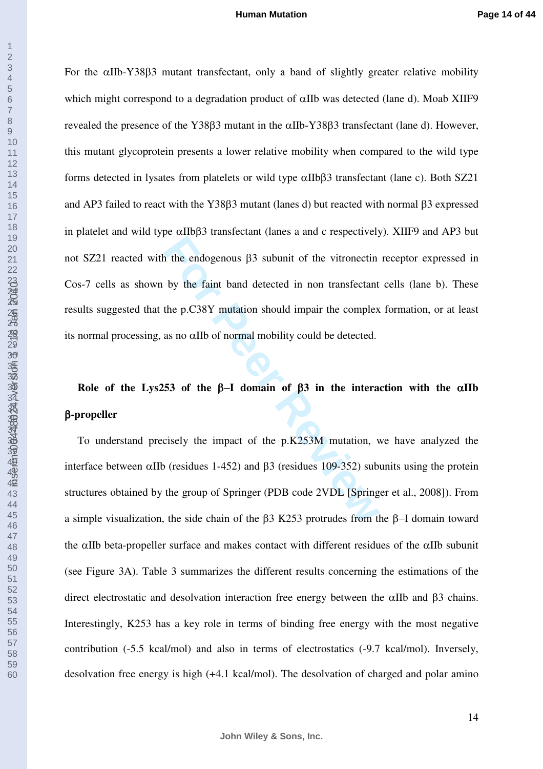**For Property 12** in the endogenous β3 subunit of the vitronectin<br>by the faint band detected in non transfectant<br>the p.C38Y mutation should impair the complex<br>as no αIIb of normal mobility could be detected.<br>53 of the β-For the αIIb-Y38β3 mutant transfectant, only a band of slightly greater relative mobility which might correspond to a degradation product of αIIb was detected (lane d). Moab XIIF9 revealed the presence of the Y38β3 mutant in the αIIb-Y38β3 transfectant (lane d). However, this mutant glycoprotein presents a lower relative mobility when compared to the wild type forms detected in lysates from platelets or wild type αIIbβ3 transfectant (lane c). Both SZ21 and AP3 failed to react with the Y38β3 mutant (lanes d) but reacted with normal β3 expressed in platelet and wild type αIIbβ3 transfectant (lanes a and c respectively). XIIF9 and AP3 but not SZ21 reacted with the endogenous β3 subunit of the vitronectin receptor expressed in Cos-7 cells as shown by the faint band detected in non transfectant cells (lane b). These results suggested that the p.C38Y mutation should impair the complex formation, or at least its normal processing, as no αIIb of normal mobility could be detected.

# **Role of the Lys253 of the** β−**I domain of** β**3 in the interaction with the** α**IIb**  β**-propeller**

To understand precisely the impact of the p.K253M mutation, we have analyzed the interface between αIIb (residues 1-452) and β3 (residues 109-352) subunits using the protein structures obtained by the group of Springer (PDB code 2VDL [Springer et al., 2008]). From a simple visualization, the side chain of the β3 K253 protrudes from the β−I domain toward the αIIb beta-propeller surface and makes contact with different residues of the αIIb subunit (see Figure 3A). Table 3 summarizes the different results concerning the estimations of the direct electrostatic and desolvation interaction free energy between the  $\alpha$ IIb and  $\beta$ 3 chains. Interestingly, K253 has a key role in terms of binding free energy with the most negative contribution (-5.5 kcal/mol) and also in terms of electrostatics (-9.7 kcal/mol). Inversely, desolvation free energy is high (+4.1 kcal/mol). The desolvation of charged and polar amino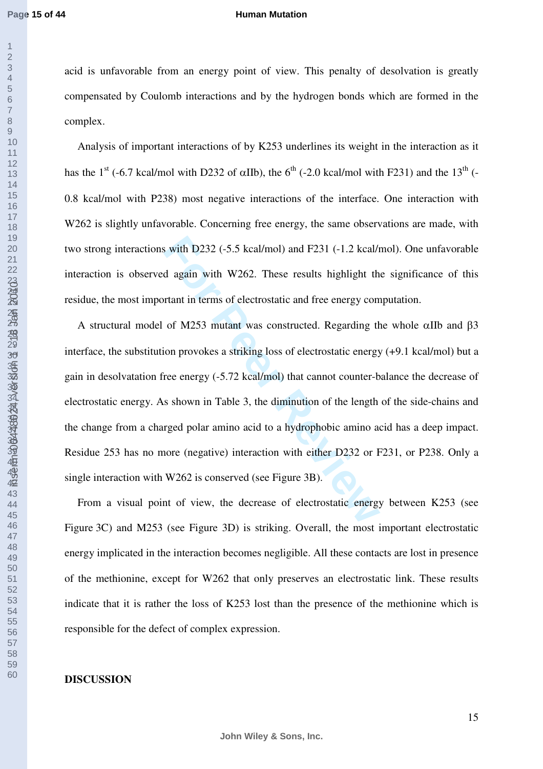#### **Human Mutation**

acid is unfavorable from an energy point of view. This penalty of desolvation is greatly compensated by Coulomb interactions and by the hydrogen bonds which are formed in the complex.

Analysis of important interactions of by K253 underlines its weight in the interaction as it has the 1<sup>st</sup> (-6.7 kcal/mol with D232 of  $\alpha$ IIb), the 6<sup>th</sup> (-2.0 kcal/mol with F231) and the 13<sup>th</sup> (-0.8 kcal/mol with P238) most negative interactions of the interface. One interaction with W262 is slightly unfavorable. Concerning free energy, the same observations are made, with two strong interactions with D232 (-5.5 kcal/mol) and F231 (-1.2 kcal/mol). One unfavorable interaction is observed again with W262. These results highlight the significance of this residue, the most important in terms of electrostatic and free energy computation.

**For Perry 100** in the M262 is conserved by the decrease of electrostatic and free energy con of M253 mutant was constructed. Regarding the on provokes a striking loss of electrostatic energy con provokes a striking loss o A structural model of M253 mutant was constructed. Regarding the whole αIIb and β3 interface, the substitution provokes a striking loss of electrostatic energy (+9.1 kcal/mol) but a gain in desolvatation free energy (-5.72 kcal/mol) that cannot counter-balance the decrease of electrostatic energy. As shown in Table 3, the diminution of the length of the side-chains and the change from a charged polar amino acid to a hydrophobic amino acid has a deep impact. Residue 253 has no more (negative) interaction with either D232 or F231, or P238. Only a single interaction with W262 is conserved (see Figure 3B).

From a visual point of view, the decrease of electrostatic energy between K253 (see Figure 3C) and M253 (see Figure 3D) is striking. Overall, the most important electrostatic energy implicated in the interaction becomes negligible. All these contacts are lost in presence of the methionine, except for W262 that only preserves an electrostatic link. These results indicate that it is rather the loss of K253 lost than the presence of the methionine which is responsible for the defect of complex expression.

## **DISCUSSION**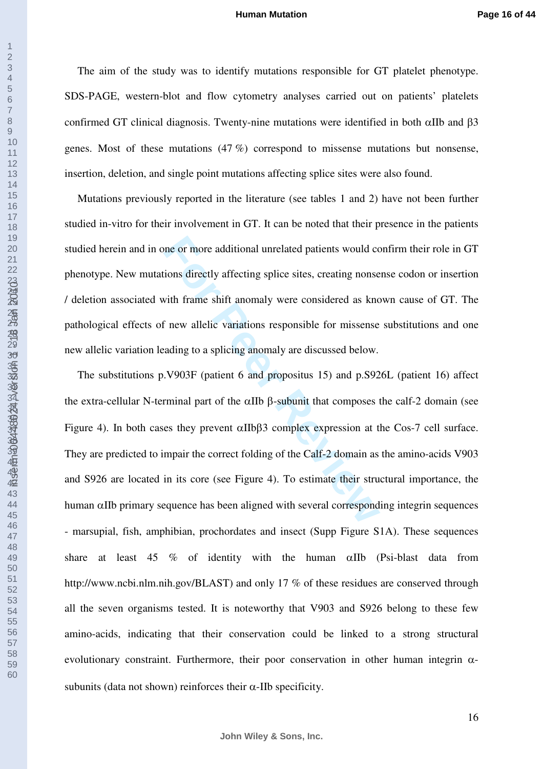The aim of the study was to identify mutations responsible for GT platelet phenotype. SDS-PAGE, western-blot and flow cytometry analyses carried out on patients' platelets confirmed GT clinical diagnosis. Twenty-nine mutations were identified in both αIIb and β3 genes. Most of these mutations (47 %) correspond to missense mutations but nonsense, insertion, deletion, and single point mutations affecting splice sites were also found.

Mutations previously reported in the literature (see tables 1 and 2) have not been further studied in-vitro for their involvement in GT. It can be noted that their presence in the patients studied herein and in one or more additional unrelated patients would confirm their role in GT phenotype. New mutations directly affecting splice sites, creating nonsense codon or insertion / deletion associated with frame shift anomaly were considered as known cause of GT. The pathological effects of new allelic variations responsible for missense substitutions and one new allelic variation leading to a splicing anomaly are discussed below.

The or more additional unrelated patients would comes directly affecting splice sites, creating nonse with frame shift anomaly were considered as knc inew allelic variations responsible for missense ading to a splicing an The substitutions p.V903F (patient 6 and propositus 15) and p.S926L (patient 16) affect the extra-cellular N-terminal part of the αIIb β-subunit that composes the calf-2 domain (see Figure 4). In both cases they prevent  $\alpha$ IIbβ3 complex expression at the Cos-7 cell surface. They are predicted to impair the correct folding of the Calf-2 domain as the amino-acids V903 and S926 are located in its core (see Figure 4). To estimate their structural importance, the human αIIb primary sequence has been aligned with several corresponding integrin sequences - marsupial, fish, amphibian, prochordates and insect (Supp Figure S1A). These sequences share at least 45 % of identity with the human αIIb (Psi-blast data from http://www.ncbi.nlm.nih.gov/BLAST) and only 17 % of these residues are conserved through all the seven organisms tested. It is noteworthy that V903 and S926 belong to these few amino-acids, indicating that their conservation could be linked to a strong structural evolutionary constraint. Furthermore, their poor conservation in other human integrin  $\alpha$ subunits (data not shown) reinforces their  $\alpha$ -IIb specificity.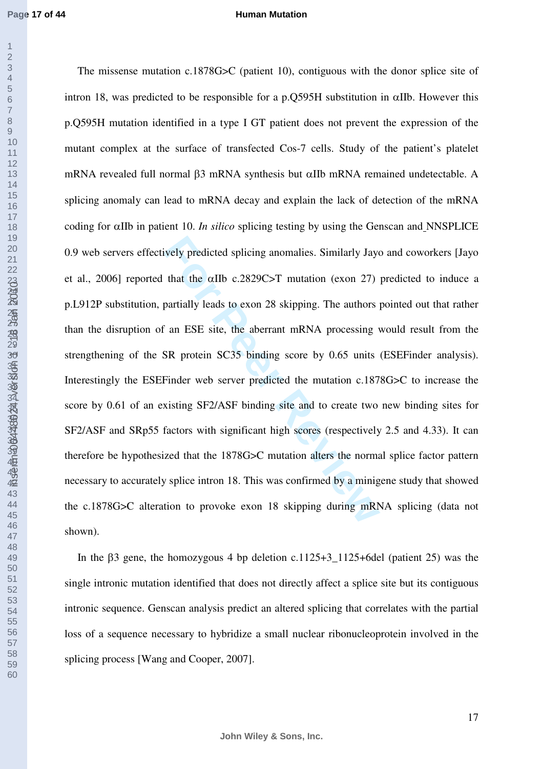#### **Human Mutation**

For Predicted splicing anomalies. Similarly Jay<br>
that the  $\alpha$ IIb c.2829C>T mutation (exon 27)<br>
partially leads to exon 28 skipping. The authors<br>
<sup>F</sup> an ESE site, the aberrant mRNA processing<br>
SR protein SC35 binding score The missense mutation c.1878G>C (patient 10), contiguous with the donor splice site of intron 18, was predicted to be responsible for a p.0595H substitution in  $\alpha$ IIb. However this p.Q595H mutation identified in a type I GT patient does not prevent the expression of the mutant complex at the surface of transfected Cos-7 cells. Study of the patient's platelet mRNA revealed full normal β3 mRNA synthesis but αIIb mRNA remained undetectable. A splicing anomaly can lead to mRNA decay and explain the lack of detection of the mRNA coding for αIIb in patient 10. *In silico* splicing testing by using the Genscan and NNSPLICE 0.9 web servers effectively predicted splicing anomalies. Similarly Jayo and coworkers [Jayo et al., 2006] reported that the αIIb c.2829C>T mutation (exon 27) predicted to induce a p.L912P substitution, partially leads to exon 28 skipping. The authors pointed out that rather than the disruption of an ESE site, the aberrant mRNA processing would result from the strengthening of the SR protein SC35 binding score by 0.65 units (ESEFinder analysis). Interestingly the ESEFinder web server predicted the mutation c.1878G>C to increase the score by 0.61 of an existing SF2/ASF binding site and to create two new binding sites for SF2/ASF and SRp55 factors with significant high scores (respectively 2.5 and 4.33). It can therefore be hypothesized that the 1878G>C mutation alters the normal splice factor pattern necessary to accurately splice intron 18. This was confirmed by a minigene study that showed the c.1878G>C alteration to provoke exon 18 skipping during mRNA splicing (data not shown).

In the β3 gene, the homozygous 4 bp deletion c.1125+3\_1125+6del (patient 25) was the single intronic mutation identified that does not directly affect a splice site but its contiguous intronic sequence. Genscan analysis predict an altered splicing that correlates with the partial loss of a sequence necessary to hybridize a small nuclear ribonucleoprotein involved in the splicing process [Wang and Cooper, 2007].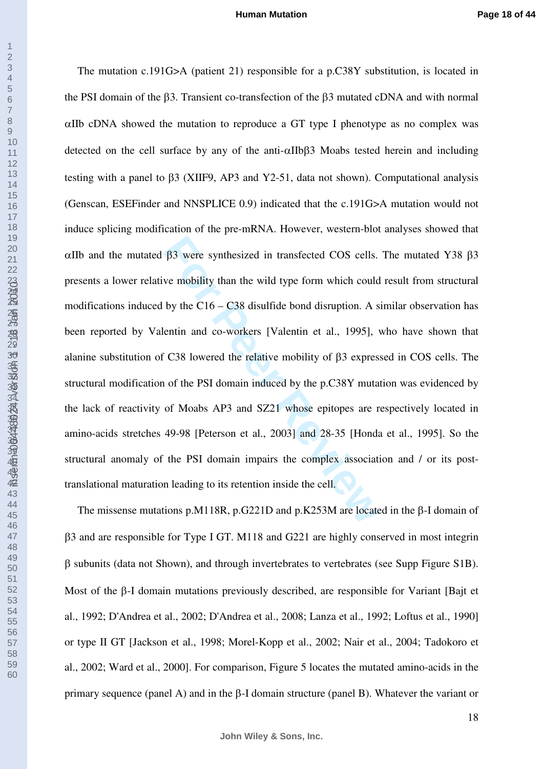$β$ 3 were synthesized in transfected COS cells.<br>
we mobility than the wild type form which could<br>
by the C16 – C38 disulfide bond disruption. A s<br>
entin and co-workers [Valentin et al., 1995],<br>
C38 lowered the relative m The mutation c.191G>A (patient 21) responsible for a p.C38Y substitution, is located in the PSI domain of the β3. Transient co-transfection of the β3 mutated cDNA and with normal αIIb cDNA showed the mutation to reproduce a GT type I phenotype as no complex was detected on the cell surface by any of the anti-αIIbβ3 Moabs tested herein and including testing with a panel to β3 (XIIF9, AP3 and Y2-51, data not shown). Computational analysis (Genscan, ESEFinder and NNSPLICE 0.9) indicated that the c.191G>A mutation would not induce splicing modification of the pre-mRNA. However, western-blot analyses showed that αIIb and the mutated β3 were synthesized in transfected COS cells. The mutated Y38 β3 presents a lower relative mobility than the wild type form which could result from structural modifications induced by the C16 – C38 disulfide bond disruption. A similar observation has been reported by Valentin and co-workers [Valentin et al., 1995], who have shown that alanine substitution of C38 lowered the relative mobility of β3 expressed in COS cells. The structural modification of the PSI domain induced by the p.C38Y mutation was evidenced by the lack of reactivity of Moabs AP3 and SZ21 whose epitopes are respectively located in amino-acids stretches 49-98 [Peterson et al., 2003] and 28-35 [Honda et al., 1995]. So the structural anomaly of the PSI domain impairs the complex association and / or its posttranslational maturation leading to its retention inside the cell.

The missense mutations p.M118R, p.G221D and p.K253M are located in the β-I domain of β3 and are responsible for Type I GT. M118 and G221 are highly conserved in most integrin β subunits (data not Shown), and through invertebrates to vertebrates (see Supp Figure S1B). Most of the β-I domain mutations previously described, are responsible for Variant [Bajt et al., 1992; D'Andrea et al., 2002; D'Andrea et al., 2008; Lanza et al., 1992; Loftus et al., 1990] or type II GT [Jackson et al., 1998; Morel-Kopp et al., 2002; Nair et al., 2004; Tadokoro et al., 2002; Ward et al., 2000]. For comparison, Figure 5 locates the mutated amino-acids in the primary sequence (panel A) and in the β-I domain structure (panel B). Whatever the variant or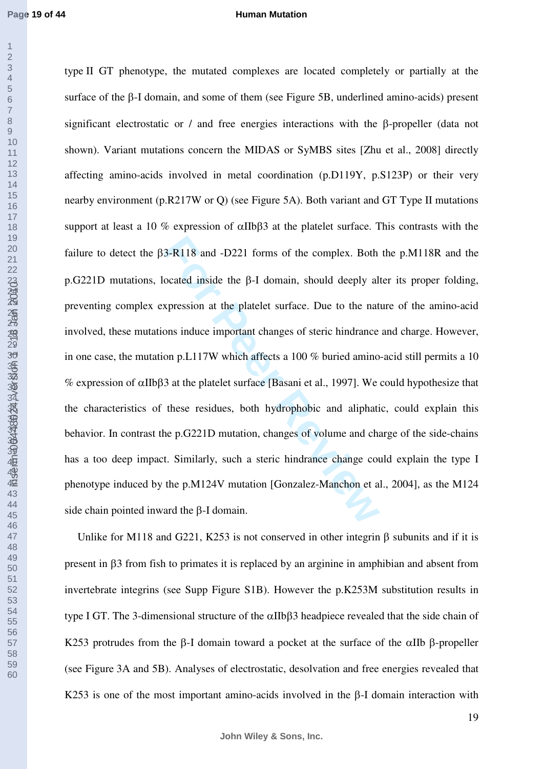#### **Human Mutation**

3-R118 and -D221 forms of the complex. Both<br>ocated inside the β-I domain, should deeply al<br>xpression at the platelet surface. Due to the nat<br>ons induce important changes of steric hindrance<br>on p.L117W which affects a 100 type II GT phenotype, the mutated complexes are located completely or partially at the surface of the β-I domain, and some of them (see Figure 5B, underlined amino-acids) present significant electrostatic or / and free energies interactions with the β-propeller (data not shown). Variant mutations concern the MIDAS or SyMBS sites [Zhu et al., 2008] directly affecting amino-acids involved in metal coordination (p.D119Y, p.S123P) or their very nearby environment (p.R217W or Q) (see Figure 5A). Both variant and GT Type II mutations support at least a 10 % expression of αIIbβ3 at the platelet surface. This contrasts with the failure to detect the β3-R118 and -D221 forms of the complex. Both the p.M118R and the p.G221D mutations, located inside the β-I domain, should deeply alter its proper folding, preventing complex expression at the platelet surface. Due to the nature of the amino-acid involved, these mutations induce important changes of steric hindrance and charge. However, in one case, the mutation p.L117W which affects a 100 % buried amino-acid still permits a 10 % expression of αIIbβ3 at the platelet surface [Basani et al., 1997]. We could hypothesize that the characteristics of these residues, both hydrophobic and aliphatic, could explain this behavior. In contrast the p.G221D mutation, changes of volume and charge of the side-chains has a too deep impact. Similarly, such a steric hindrance change could explain the type I phenotype induced by the p.M124V mutation [Gonzalez-Manchon et al., 2004], as the M124 side chain pointed inward the β-I domain.

Unlike for M118 and G221, K253 is not conserved in other integrin  $\beta$  subunits and if it is present in β3 from fish to primates it is replaced by an arginine in amphibian and absent from invertebrate integrins (see Supp Figure S1B). However the p.K253M substitution results in type I GT. The 3-dimensional structure of the αIIbβ3 headpiece revealed that the side chain of K253 protrudes from the β-I domain toward a pocket at the surface of the αIIb β-propeller (see Figure 3A and 5B). Analyses of electrostatic, desolvation and free energies revealed that K253 is one of the most important amino-acids involved in the β-I domain interaction with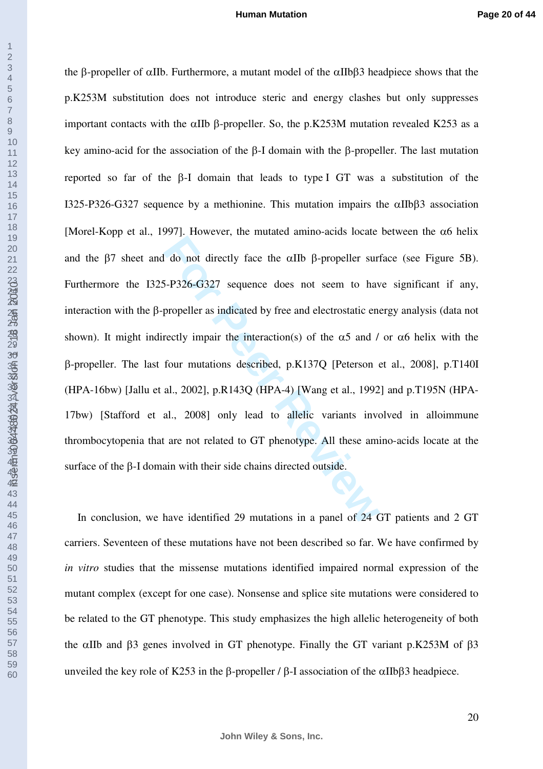inserm-00448024, version 1 - 18 Jan 2010

**For Propeller sum** of directly face the αIIb β-propeller sum<br>5-P326-G327 sequence does not seem to have<br>propeller as indicated by free and electrostatic encectly impair the interaction(s) of the α5 and /<br>four mutations the β-propeller of αIIb. Furthermore, a mutant model of the αIIbβ3 headpiece shows that the p.K253M substitution does not introduce steric and energy clashes but only suppresses important contacts with the αIIb β-propeller. So, the p.K253M mutation revealed K253 as a key amino-acid for the association of the β-I domain with the β-propeller. The last mutation reported so far of the β-I domain that leads to type I GT was a substitution of the I325-P326-G327 sequence by a methionine. This mutation impairs the αIIbβ3 association [Morel-Kopp et al., 1997]. However, the mutated amino-acids locate between the  $\alpha$ 6 helix and the β7 sheet and do not directly face the αIIb β-propeller surface (see Figure 5B). Furthermore the I325-P326-G327 sequence does not seem to have significant if any, interaction with the β-propeller as indicated by free and electrostatic energy analysis (data not shown). It might indirectly impair the interaction(s) of the  $\alpha$ 5 and / or  $\alpha$ 6 helix with the β-propeller. The last four mutations described, p.K137Q [Peterson et al., 2008], p.T140I (HPA-16bw) [Jallu et al., 2002], p.R143Q (HPA-4) [Wang et al., 1992] and p.T195N (HPA-17bw) [Stafford et al., 2008] only lead to allelic variants involved in alloimmune thrombocytopenia that are not related to GT phenotype. All these amino-acids locate at the surface of the β-I domain with their side chains directed outside.

In conclusion, we have identified 29 mutations in a panel of 24 GT patients and 2 GT carriers. Seventeen of these mutations have not been described so far. We have confirmed by *in vitro* studies that the missense mutations identified impaired normal expression of the mutant complex (except for one case). Nonsense and splice site mutations were considered to be related to the GT phenotype. This study emphasizes the high allelic heterogeneity of both the αIIb and β3 genes involved in GT phenotype. Finally the GT variant p.K253M of β3 unveiled the key role of K253 in the β-propeller / β-I association of the αIIbβ3 headpiece.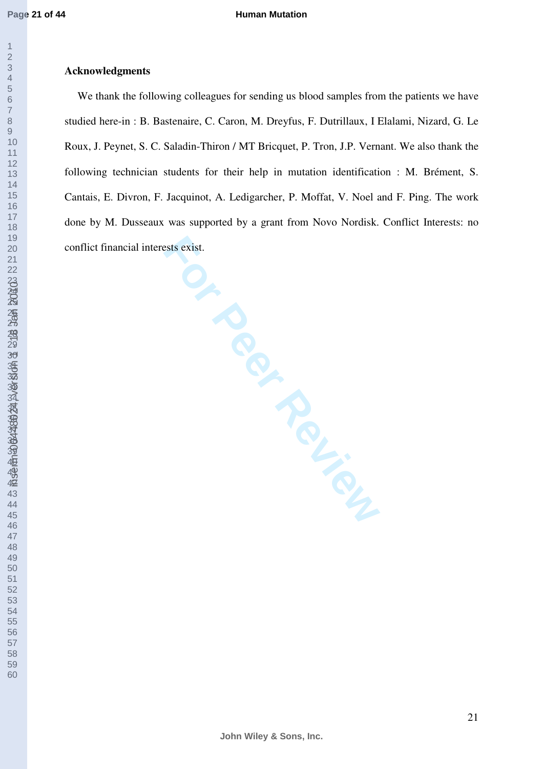### **Human Mutation**

### <u>স্</u> 3<u>9</u> 4<u>0</u> inserm-00448024, version 1 - 18 Jan 2010

## **Acknowledgments**

**For Per Review** We thank the following colleagues for sending us blood samples from the patients we have studied here-in : B. Bastenaire, C. Caron, M. Dreyfus, F. Dutrillaux, I Elalami, Nizard, G. Le Roux, J. Peynet, S. C. Saladin-Thiron / MT Bricquet, P. Tron, J.P. Vernant. We also thank the following technician students for their help in mutation identification : M. Brément, S. Cantais, E. Divron, F. Jacquinot, A. Ledigarcher, P. Moffat, V. Noel and F. Ping. The work done by M. Dusseaux was supported by a grant from Novo Nordisk. Conflict Interests: no conflict financial interests exist.

**John Wiley & Sons, Inc.**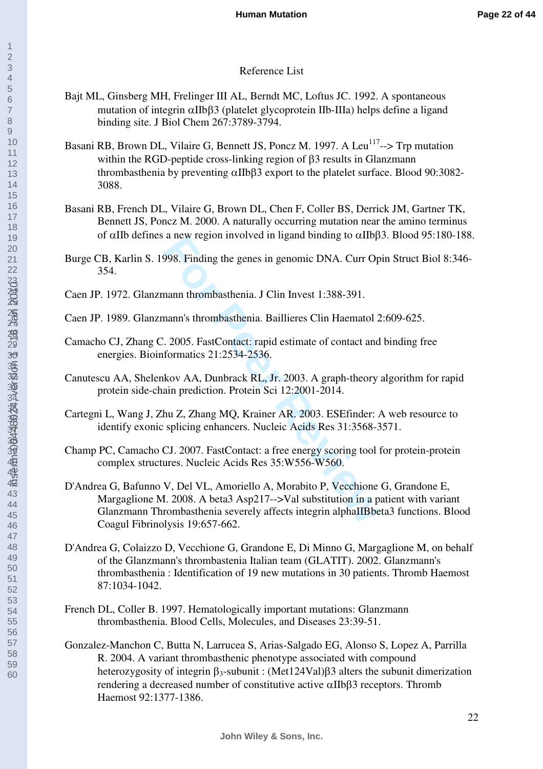## Reference List

- Bajt ML, Ginsberg MH, Frelinger III AL, Berndt MC, Loftus JC. 1992. A spontaneous mutation of integrin αIIbβ3 (platelet glycoprotein IIb-IIIa) helps define a ligand binding site. J Biol Chem 267:3789-3794.
- Basani RB, Brown DL, Vilaire G, Bennett JS, Poncz M. 1997. A Leu<sup>117</sup>--> Trp mutation within the RGD-peptide cross-linking region of β3 results in Glanzmann thrombasthenia by preventing αIIbβ3 export to the platelet surface. Blood 90:3082- 3088.
- Basani RB, French DL, Vilaire G, Brown DL, Chen F, Coller BS, Derrick JM, Gartner TK, Bennett JS, Poncz M. 2000. A naturally occurring mutation near the amino terminus of αIIb defines a new region involved in ligand binding to αIIbβ3. Blood 95:180-188.
- Burge CB, Karlin S. 1998. Finding the genes in genomic DNA. Curr Opin Struct Biol 8:346- 354.
- Caen JP. 1972. Glanzmann thrombasthenia. J Clin Invest 1:388-391.
- Caen JP. 1989. Glanzmann's thrombasthenia. Baillieres Clin Haematol 2:609-625.
- Camacho CJ, Zhang C. 2005. FastContact: rapid estimate of contact and binding free energies. Bioinformatics 21:2534-2536.
- Canutescu AA, Shelenkov AA, Dunbrack RL, Jr. 2003. A graph-theory algorithm for rapid protein side-chain prediction. Protein Sci 12:2001-2014.
- Cartegni L, Wang J, Zhu Z, Zhang MQ, Krainer AR. 2003. ESEfinder: A web resource to identify exonic splicing enhancers. Nucleic Acids Res 31:3568-3571.
- Champ PC, Camacho CJ. 2007. FastContact: a free energy scoring tool for protein-protein complex structures. Nucleic Acids Res 35:W556-W560.
- a new region invoived in igand binding to drip<br>998. Finding the genes in genomic DNA. Curr Op<br>nann 's thrombasthenia. J Clin Invest 1:388-391.<br>nann's thrombasthenia. Baillieres Clin Haematol 2.<br>2005. FastContact: rapid est D'Andrea G, Bafunno V, Del VL, Amoriello A, Morabito P, Vecchione G, Grandone E, Margaglione M. 2008. A beta3 Asp217-->Val substitution in a patient with variant Glanzmann Thrombasthenia severely affects integrin alphaIIBbeta3 functions. Blood Coagul Fibrinolysis 19:657-662.
- D'Andrea G, Colaizzo D, Vecchione G, Grandone E, Di Minno G, Margaglione M, on behalf of the Glanzmann's thrombastenia Italian team (GLATIT). 2002. Glanzmann's thrombasthenia : Identification of 19 new mutations in 30 patients. Thromb Haemost 87:1034-1042.
- French DL, Coller B. 1997. Hematologically important mutations: Glanzmann thrombasthenia. Blood Cells, Molecules, and Diseases 23:39-51.
- Gonzalez-Manchon C, Butta N, Larrucea S, Arias-Salgado EG, Alonso S, Lopez A, Parrilla R. 2004. A variant thrombasthenic phenotype associated with compound heterozygosity of integrin β<sub>3</sub>-subunit : (Met124Val)β3 alters the subunit dimerization rendering a decreased number of constitutive active αIIbβ3 receptors. Thromb Haemost 92:1377-1386.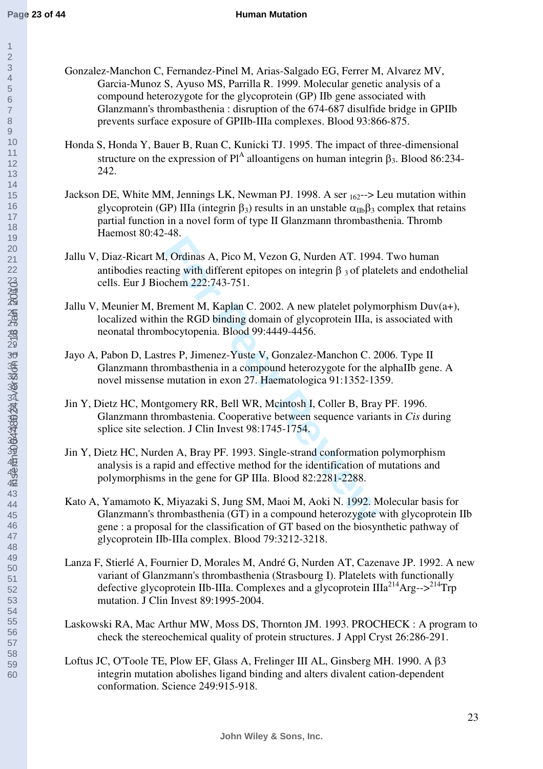60inserm-00448024, version 1 - 18 Jan 2010

- Gonzalez-Manchon C, Fernandez-Pinel M, Arias-Salgado EG, Ferrer M, Alvarez MV, Garcia-Munoz S, Ayuso MS, Parrilla R. 1999. Molecular genetic analysis of a compound heterozygote for the glycoprotein (GP) IIb gene associated with Glanzmann's thrombasthenia : disruption of the 674-687 disulfide bridge in GPIIb prevents surface exposure of GPIIb-IIIa complexes. Blood 93:866-875.
- Honda S, Honda Y, Bauer B, Ruan C, Kunicki TJ. 1995. The impact of three-dimensional structure on the expression of  $Pl^A$  alloantigens on human integrin  $\beta_3$ . Blood 86:234-242.
- Jackson DE, White MM, Jennings LK, Newman PJ. 1998. A ser 162--> Leu mutation within glycoprotein (GP) IIIa (integrin  $\beta_3$ ) results in an unstable  $\alpha_{\text{IIb}}\beta_3$  complex that retains partial function in a novel form of type II Glanzmann thrombasthenia. Thromb Haemost 80:42-48.
- For Formula A, Pico M, Vezon G, Nurden AT. 1994<br>ting with different epitopes on integrin β 3 of plate<br>chem 222:743-751.<br>rement M, Kaplan C. 2002. A new platelet polym<br>n the RGD binding domain of glycoprotein IIIa, is<br>boc Jallu V, Diaz-Ricart M, Ordinas A, Pico M, Vezon G, Nurden AT. 1994. Two human antibodies reacting with different epitopes on integrin  $\beta_3$  of platelets and endothelial cells. Eur J Biochem 222:743-751.
- Jallu V, Meunier M, Brement M, Kaplan C. 2002. A new platelet polymorphism Duv(a+), localized within the RGD binding domain of glycoprotein IIIa, is associated with neonatal thrombocytopenia. Blood 99:4449-4456.
- Jayo A, Pabon D, Lastres P, Jimenez-Yuste V, Gonzalez-Manchon C. 2006. Type II Glanzmann thrombasthenia in a compound heterozygote for the alphaIIb gene. A novel missense mutation in exon 27. Haematologica 91:1352-1359.
- Jin Y, Dietz HC, Montgomery RR, Bell WR, Mcintosh I, Coller B, Bray PF. 1996. Glanzmann thrombastenia. Cooperative between sequence variants in *Cis* during splice site selection. J Clin Invest 98:1745-1754.
- Jin Y, Dietz HC, Nurden A, Bray PF. 1993. Single-strand conformation polymorphism analysis is a rapid and effective method for the identification of mutations and polymorphisms in the gene for GP IIIa. Blood 82:2281-2288.
- Kato A, Yamamoto K, Miyazaki S, Jung SM, Maoi M, Aoki N. 1992. Molecular basis for Glanzmann's thrombasthenia (GT) in a compound heterozygote with glycoprotein IIb gene : a proposal for the classification of GT based on the biosynthetic pathway of glycoprotein IIb-IIIa complex. Blood 79:3212-3218.
- Lanza F, Stierlé A, Fournier D, Morales M, André G, Nurden AT, Cazenave JP. 1992. A new variant of Glanzmann's thrombasthenia (Strasbourg I). Platelets with functionally defective glycoprotein IIb-IIIa. Complexes and a glycoprotein  $IIIa<sup>214</sup>Arg-->^{214}Trp$ mutation. J Clin Invest 89:1995-2004.
- Laskowski RA, Mac Arthur MW, Moss DS, Thornton JM. 1993. PROCHECK : A program to check the stereochemical quality of protein structures. J Appl Cryst 26:286-291.
- Loftus JC, O'Toole TE, Plow EF, Glass A, Frelinger III AL, Ginsberg MH. 1990. A β3 integrin mutation abolishes ligand binding and alters divalent cation-dependent conformation. Science 249:915-918.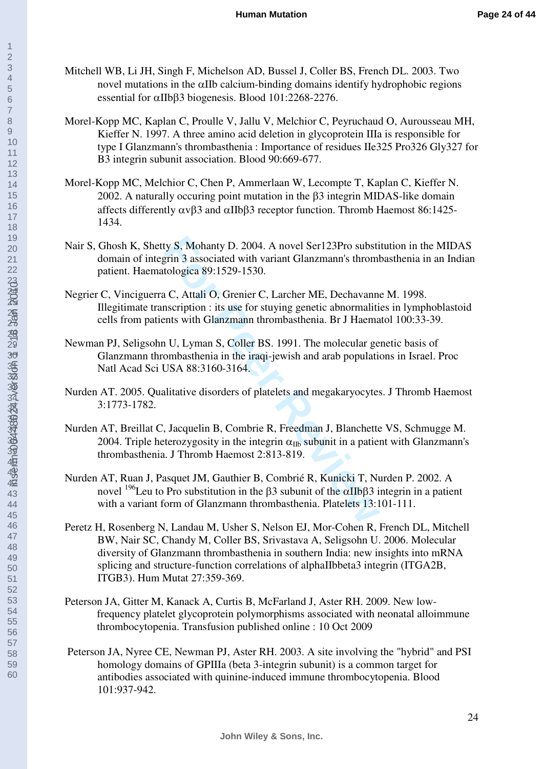- Mitchell WB, Li JH, Singh F, Michelson AD, Bussel J, Coller BS, French DL. 2003. Two novel mutations in the αIIb calcium-binding domains identify hydrophobic regions essential for αIIbβ3 biogenesis. Blood 101:2268-2276.
- Morel-Kopp MC, Kaplan C, Proulle V, Jallu V, Melchior C, Peyruchaud O, Aurousseau MH, Kieffer N. 1997. A three amino acid deletion in glycoprotein IIIa is responsible for type I Glanzmann's thrombasthenia : Importance of residues IIe325 Pro326 Gly327 for B3 integrin subunit association. Blood 90:669-677.
- Morel-Kopp MC, Melchior C, Chen P, Ammerlaan W, Lecompte T, Kaplan C, Kieffer N. 2002. A naturally occuring point mutation in the β3 integrin MIDAS-like domain affects differently  $\alpha v\beta$ 3 and  $\alpha$ IIb $\beta$ 3 receptor function. Thromb Haemost 86:1425-1434.
- Nair S, Ghosh K, Shetty S, Mohanty D. 2004. A novel Ser123Pro substitution in the MIDAS domain of integrin 3 associated with variant Glanzmann's thrombasthenia in an Indian patient. Haematologica 89:1529-1530.
- Negrier C, Vinciguerra C, Attali O, Grenier C, Larcher ME, Dechavanne M. 1998. Illegitimate transcription : its use for stuying genetic abnormalities in lymphoblastoid cells from patients with Glanzmann thrombasthenia. Br J Haematol 100:33-39.
- Newman PJ, Seligsohn U, Lyman S, Coller BS. 1991. The molecular genetic basis of Glanzmann thrombasthenia in the iraqi-jewish and arab populations in Israel. Proc Natl Acad Sci USA 88:3160-3164.
- Nurden AT. 2005. Qualitative disorders of platelets and megakaryocytes. J Thromb Haemost 3:1773-1782.
- Ity S, Mohanty D. 2004. A novel Ser123Pro substigrin 3 associated with variant Glanzmann's throm<br>tologica 89:1529-1530.<br> **i** C, Attali O, Grenier C, Larcher ME, Dechavannescription : its use for stuying genetic abnormalit Nurden AT, Breillat C, Jacquelin B, Combrie R, Freedman J, Blanchette VS, Schmugge M. 2004. Triple heterozygosity in the integrin  $\alpha_{\text{ID}}$  subunit in a patient with Glanzmann's thrombasthenia. J Thromb Haemost 2:813-819.
- Nurden AT, Ruan J, Pasquet JM, Gauthier B, Combrié R, Kunicki T, Nurden P. 2002. A novel <sup>196</sup>Leu to Pro substitution in the β3 subunit of the  $\alpha$ IIbβ3 integrin in a patient with a variant form of Glanzmann thrombasthenia. Platelets 13:101-111.
- Peretz H, Rosenberg N, Landau M, Usher S, Nelson EJ, Mor-Cohen R, French DL, Mitchell BW, Nair SC, Chandy M, Coller BS, Srivastava A, Seligsohn U. 2006. Molecular diversity of Glanzmann thrombasthenia in southern India: new insights into mRNA splicing and structure-function correlations of alphaIIbbeta3 integrin (ITGA2B, ITGB3). Hum Mutat 27:359-369.
- Peterson JA, Gitter M, Kanack A, Curtis B, McFarland J, Aster RH. 2009. New lowfrequency platelet glycoprotein polymorphisms associated with neonatal alloimmune thrombocytopenia. Transfusion published online : 10 Oct 2009
- Peterson JA, Nyree CE, Newman PJ, Aster RH. 2003. A site involving the "hybrid" and PSI homology domains of GPIIIa (beta 3-integrin subunit) is a common target for antibodies associated with quinine-induced immune thrombocytopenia. Blood 101:937-942.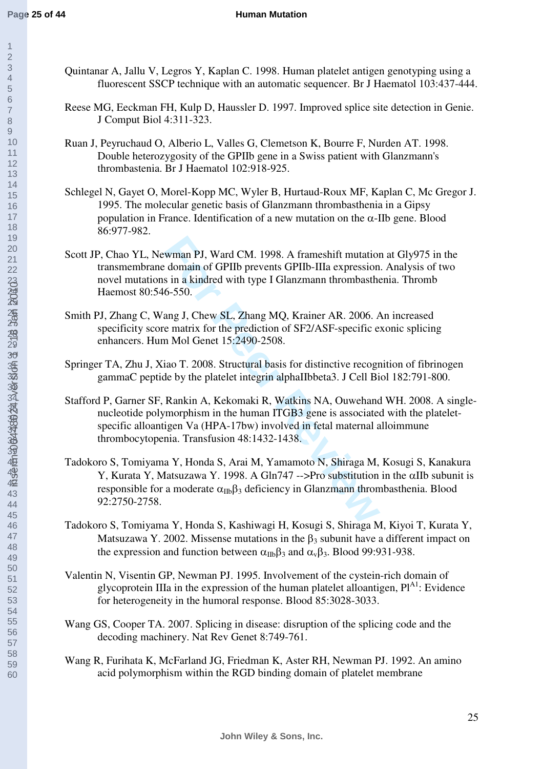60inserm-00448024, version 1 - 18 Jan 2010

- Quintanar A, Jallu V, Legros Y, Kaplan C. 1998. Human platelet antigen genotyping using a fluorescent SSCP technique with an automatic sequencer. Br J Haematol 103:437-444.
- Reese MG, Eeckman FH, Kulp D, Haussler D. 1997. Improved splice site detection in Genie. J Comput Biol 4:311-323.
- Ruan J, Peyruchaud O, Alberio L, Valles G, Clemetson K, Bourre F, Nurden AT. 1998. Double heterozygosity of the GPIIb gene in a Swiss patient with Glanzmann's thrombastenia. Br J Haematol 102:918-925.
- Schlegel N, Gayet O, Morel-Kopp MC, Wyler B, Hurtaud-Roux MF, Kaplan C, Mc Gregor J. 1995. The molecular genetic basis of Glanzmann thrombasthenia in a Gipsy population in France. Identification of a new mutation on the  $\alpha$ -IIb gene. Blood 86:977-982.
- Scott JP, Chao YL, Newman PJ, Ward CM. 1998. A frameshift mutation at Gly975 in the transmembrane domain of GPIIb prevents GPIIb-IIIa expression. Analysis of two novel mutations in a kindred with type I Glanzmann thrombasthenia. Thromb Haemost 80:546-550.
- Smith PJ, Zhang C, Wang J, Chew SL, Zhang MQ, Krainer AR. 2006. An increased specificity score matrix for the prediction of SF2/ASF-specific exonic splicing enhancers. Hum Mol Genet 15:2490-2508.
- Springer TA, Zhu J, Xiao T. 2008. Structural basis for distinctive recognition of fibrinogen gammaC peptide by the platelet integrin alphaIIbbeta3. J Cell Biol 182:791-800.
- Stafford P, Garner SF, Rankin A, Kekomaki R, Watkins NA, Ouwehand WH. 2008. A singlenucleotide polymorphism in the human ITGB3 gene is associated with the plateletspecific alloantigen Va (HPA-17bw) involved in fetal maternal alloimmune thrombocytopenia. Transfusion 48:1432-1438.
- wman PJ, Ward CM. 1998. A frameshift mutation<br>
domain of GPIIb prevents GPIIb-IIIa expression<br>
s in a kindred with type I Glanzmann thrombasthe<br>
6-550.<br>
ang J, Chew SL, Zhang MQ, Krainer AR. 2006. *F*<br>
e matrix for the pr Tadokoro S, Tomiyama Y, Honda S, Arai M, Yamamoto N, Shiraga M, Kosugi S, Kanakura Y, Kurata Y, Matsuzawa Y. 1998. A Gln747 -->Pro substitution in the αIIb subunit is responsible for a moderate  $\alpha_{\text{m}}\beta_3$  deficiency in Glanzmann thrombasthenia. Blood 92:2750-2758.
- Tadokoro S, Tomiyama Y, Honda S, Kashiwagi H, Kosugi S, Shiraga M, Kiyoi T, Kurata Y, Matsuzawa Y. 2002. Missense mutations in the  $\beta_3$  subunit have a different impact on the expression and function between  $\alpha_{\text{IIb}}\beta_3$  and  $\alpha_{\text{v}}\beta_3$ . Blood 99:931-938.
- Valentin N, Visentin GP, Newman PJ. 1995. Involvement of the cystein-rich domain of glycoprotein IIIa in the expression of the human platelet alloantigen,  $Pl<sup>41</sup>$ : Evidence for heterogeneity in the humoral response. Blood 85:3028-3033.
- Wang GS, Cooper TA. 2007. Splicing in disease: disruption of the splicing code and the decoding machinery. Nat Rev Genet 8:749-761.
- Wang R, Furihata K, McFarland JG, Friedman K, Aster RH, Newman PJ. 1992. An amino acid polymorphism within the RGD binding domain of platelet membrane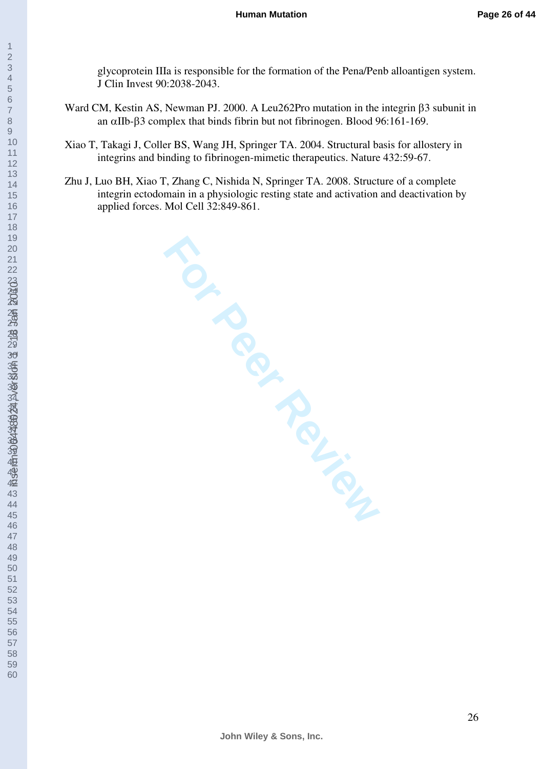inserm-00448024, version 1 - 18 Jan 2010

glycoprotein IIIa is responsible for the formation of the Pena/Penb alloantigen system. J Clin Invest 90:2038-2043.

- Ward CM, Kestin AS, Newman PJ. 2000. A Leu262Pro mutation in the integrin β3 subunit in an αIIb-β3 complex that binds fibrin but not fibrinogen. Blood 96:161-169.
- Xiao T, Takagi J, Coller BS, Wang JH, Springer TA. 2004. Structural basis for allostery in integrins and binding to fibrinogen-mimetic therapeutics. Nature 432:59-67.
- Zhu J, Luo BH, Xiao T, Zhang C, Nishida N, Springer TA. 2008. Structure of a complete integrin ectodomain in a physiologic resting state and activation and deactivation by applied forces. Mol Cell 32:849-861.

**For Per Text**<br>Per Review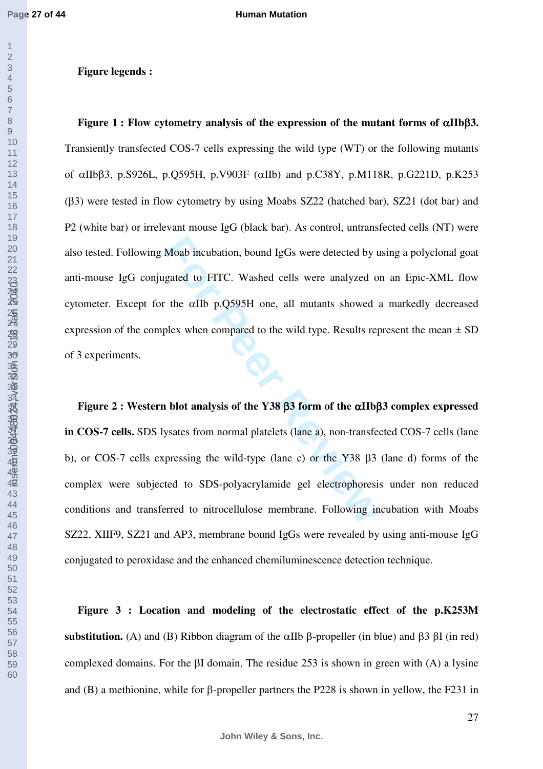inserm-00448024, version 1 - 18 Jan 2010

## **Figure legends :**

Moab incubation, bound IgGs were detected by u<br>gated to FITC. Washed cells were analyzed of<br>the  $\alpha$ IIb p.Q595H one, all mutants showed as<br>plex when compared to the wild type. Results rep<br>**h**<br>**h** blot analysis of the Y38 **Figure 1 : Flow cytometry analysis of the expression of the mutant forms of** α**IIb**β**3.** Transiently transfected COS-7 cells expressing the wild type (WT) or the following mutants of αIIbβ3, p.S926L, p.Q595H, p.V903F (αIIb) and p.C38Y, p.M118R, p.G221D, p.K253 (β3) were tested in flow cytometry by using Moabs SZ22 (hatched bar), SZ21 (dot bar) and P2 (white bar) or irrelevant mouse IgG (black bar). As control, untransfected cells (NT) were also tested. Following Moab incubation, bound IgGs were detected by using a polyclonal goat anti-mouse IgG conjugated to FITC. Washed cells were analyzed on an Epic-XML flow cytometer. Except for the αIIb p.Q595H one, all mutants showed a markedly decreased expression of the complex when compared to the wild type. Results represent the mean  $\pm$  SD of 3 experiments.

**Figure 2 : Western blot analysis of the Y38** β**3 form of the** α**IIb**β**3 complex expressed in COS-7 cells.** SDS lysates from normal platelets (lane a), non-transfected COS-7 cells (lane b), or COS-7 cells expressing the wild-type (lane c) or the Y38 β3 (lane d) forms of the complex were subjected to SDS-polyacrylamide gel electrophoresis under non reduced conditions and transferred to nitrocellulose membrane. Following incubation with Moabs SZ22, XIIF9, SZ21 and AP3, membrane bound IgGs were revealed by using anti-mouse IgG conjugated to peroxidase and the enhanced chemiluminescence detection technique.

**Figure 3 : Location and modeling of the electrostatic effect of the p.K253M substitution.** (A) and (B) Ribbon diagram of the αIIb β-propeller (in blue) and β3 βI (in red) complexed domains. For the βI domain, The residue 253 is shown in green with (A) a lysine and (B) a methionine, while for β-propeller partners the P228 is shown in yellow, the F231 in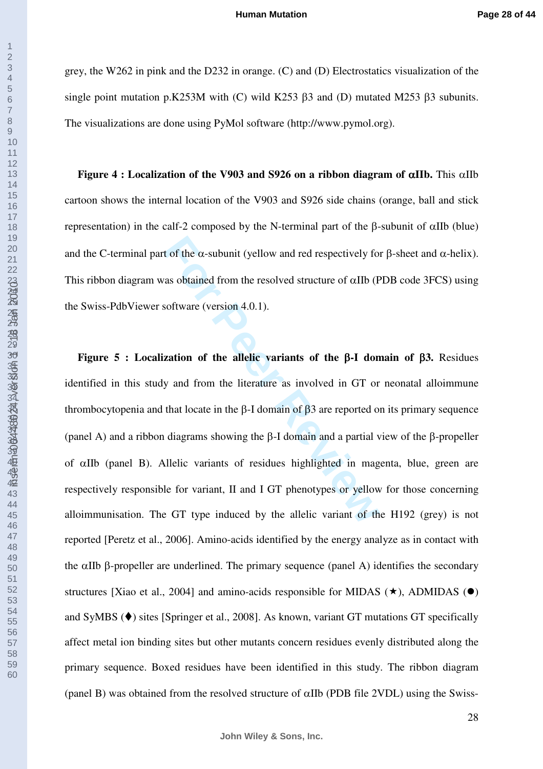grey, the W262 in pink and the D232 in orange. (C) and (D) Electrostatics visualization of the single point mutation p.K253M with (C) wild K253 β3 and (D) mutated M253 β3 subunits. The visualizations are done using PyMol software (http://www.pymol.org).

**Figure 4 : Localization of the V903 and S926 on a ribbon diagram of** α**IIb.** This αIIb cartoon shows the internal location of the V903 and S926 side chains (orange, ball and stick representation) in the calf-2 composed by the N-terminal part of the β-subunit of αIIb (blue) and the C-terminal part of the  $\alpha$ -subunit (yellow and red respectively for  $\beta$ -sheet and  $\alpha$ -helix). This ribbon diagram was obtained from the resolved structure of  $\alpha$ IIb (PDB code 3FCS) using the Swiss-PdbViewer software (version 4.0.1).

t of the α-subunit (yellow and red respectively fo<br>as obtained from the resolved structure of αIIb (F<br>software (version 4.0.1).<br>**Zation of the allelic variants of the β-I don**<br>y and from the literature as involved in GT **Figure 5 : Localization of the allelic variants of the** β**-I domain of** β**3.** Residues identified in this study and from the literature as involved in GT or neonatal alloimmune thrombocytopenia and that locate in the β-I domain of β3 are reported on its primary sequence (panel A) and a ribbon diagrams showing the β-I domain and a partial view of the β-propeller of αIIb (panel B). Allelic variants of residues highlighted in magenta, blue, green are respectively responsible for variant, II and I GT phenotypes or yellow for those concerning alloimmunisation. The GT type induced by the allelic variant of the H192 (grey) is not reported [Peretz et al., 2006]. Amino-acids identified by the energy analyze as in contact with the  $\alpha$ IIb β-propeller are underlined. The primary sequence (panel A) identifies the secondary structures [Xiao et al., 2004] and amino-acids responsible for MIDAS  $(\star)$ , ADMIDAS ( $\bullet$ ) and SyMBS  $(\blacklozenge)$  sites [Springer et al., 2008]. As known, variant GT mutations GT specifically affect metal ion binding sites but other mutants concern residues evenly distributed along the primary sequence. Boxed residues have been identified in this study. The ribbon diagram (panel B) was obtained from the resolved structure of  $\alpha$ IIb (PDB file 2VDL) using the Swiss-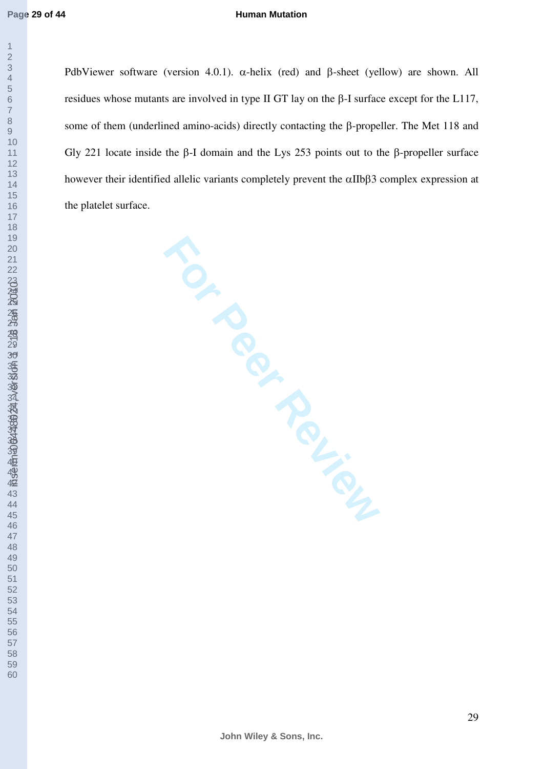#### **Human Mutation**

PdbViewer software (version 4.0.1).  $\alpha$ -helix (red) and β-sheet (yellow) are shown. All residues whose mutants are involved in type II GT lay on the β-I surface except for the L117, some of them (underlined amino-acids) directly contacting the β-propeller. The Met 118 and Gly 221 locate inside the β-I domain and the Lys 253 points out to the β-propeller surface however their identified allelic variants completely prevent the αIIbβ3 complex expression at the platelet surface.

**For Perinance Review**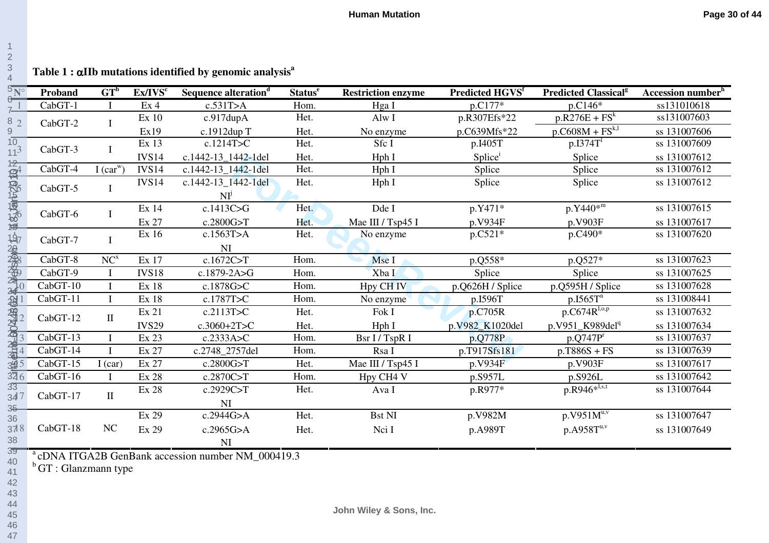| $\frac{5N^{\circ}}{6}$ | Proband                    | $GT^b$        | Ex/IVS <sup>c</sup> | Sequence alteration <sup>d</sup>                              | <b>Status</b> <sup>e</sup> | <b>Restriction enzyme</b> | Predicted HGVS <sup>f</sup> | <b>Predicted Classical<sup>g</sup></b> | Accession number <sup>h</sup> |
|------------------------|----------------------------|---------------|---------------------|---------------------------------------------------------------|----------------------------|---------------------------|-----------------------------|----------------------------------------|-------------------------------|
| $7^{\frac{1}{2}}$      | CabGT-1                    |               | Ex <sub>4</sub>     | c.531T>A                                                      | Hom.                       | Hga I                     | p.C177*                     | p.C146*                                | ss131010618                   |
| 8 <sub>2</sub>         | CabGT-2                    | $\bf{I}$      | Ex 10               | c.917dupA                                                     | Het.                       | Alw I                     | p.R307Efs*22                | $p.R276E + FSk$                        | ss131007603                   |
| 9                      |                            |               | Ex19                | c.1912dup T                                                   | Het.                       | No enzyme                 | p.C639Mfs*22                | $p.C608M + FS^{k,l}$                   | ss 131007606                  |
| $\frac{10}{11^3}$      | CabGT-3                    | $\mathbf{I}$  | Ex 13               | c.1214T>C                                                     | Het.                       | Sfc I                     | p.I405T                     | $p.I374T^T$                            | ss 131007609                  |
|                        |                            |               | <b>IVS14</b>        | c.1442-13 1442-1del                                           | Het.                       | Hph I                     | Splice                      | Splice                                 | ss 131007612                  |
| $\vec{p}$              | CabGT-4                    | I $(car^{w})$ | <b>IVS14</b>        | c.1442-13 1442-1del                                           | Het.                       | Hph I                     | Splice                      | Splice                                 | ss 131007612                  |
|                        | CabGT-5                    | $\mathbf I$   | IVS <sub>14</sub>   | c.1442-13 1442-1del                                           | Het.                       | Hph I                     | Splice                      | Splice                                 | ss 131007612                  |
|                        |                            |               |                     | NI <sup>j</sup>                                               |                            |                           |                             |                                        |                               |
|                        | <b>SSLANDED</b><br>CabGT-6 | $\mathbf I$   | Ex 14               | c.1413C > G                                                   | Het.                       | Dde I                     | p.Y471*                     | $p.Y440*^{m}$                          | ss 131007615                  |
| 停                      |                            |               | Ex 27               | c.2800G>T                                                     | Het.                       | Mae III / Tsp45 I         | p.V934F                     | p.V903F                                | ss 131007617                  |
|                        | CabGT-7                    | $\mathbf{I}$  | Ex 16               | c.1563T>A                                                     | Het.                       | No enzyme                 | $p.C521*$                   | $p.C490*$                              | ss 131007620                  |
|                        |                            |               |                     | NI                                                            |                            |                           |                             |                                        |                               |
| 中国 1999年19月11日 11月11日  | CabGT-8                    | $NC^{x}$      | Ex 17               | c.1672 $C>T$                                                  | Hom.                       | Mse I                     | p.Q558*                     | p.Q527*                                | ss 131007623                  |
|                        | CabGT-9                    |               | <b>IVS18</b>        | c.1879-2A>G                                                   | Hom.                       | Xba I                     | Splice                      | Splice                                 | ss 131007625                  |
|                        | CabGT-10                   | $\bf{I}$      | Ex 18               | c.1878G>C                                                     | Hom.                       | Hpy CH <sub>IV</sub>      | p.Q626H / Splice            | p.Q595H / Splice                       | ss 131007628                  |
|                        | CabGT-11                   | $\mathbf I$   | Ex 18               | c.1787T>C                                                     | Hom.                       | No enzyme                 | p.I596T                     | $p.I565T^{n}$                          | ss 131008441                  |
|                        | CabGT-12                   | $\rm II$      | Ex 21               | c.2113T>C                                                     | Het.                       | Fok I                     | p.C705R                     | $p.C674R^{l,o,p}$                      | ss 131007632                  |
|                        |                            |               | <b>IVS29</b>        | $c.3060+2T>C$                                                 | Het.                       | Hph I                     | p.V982_K1020del             | p.V951 K989del <sup>q</sup>            | ss 131007634                  |
|                        | CabGT-13                   | $\mathbf I$   | Ex 23               | c.2333A > C                                                   | Hom.                       | Bsr I / TspR I            | p.Q778P                     | $p.Q747P^r$                            | ss 131007637                  |
|                        | CabGT-14                   |               | Ex 27               | c.2748 2757del                                                | Hom.                       | Rsa I                     | p.T917Sfs181                | $p.T886S + FS$                         | ss 131007639                  |
|                        | CabGT-15                   | I (car)       | Ex 27               | c.2800G>T                                                     | Het.                       | Mae III / Tsp45 I         | p.V934F                     | p.V903F                                | ss 131007617                  |
| 326                    | CabGT-16                   | $\mathbf{I}$  | Ex 28               | c.2870C>T                                                     | Hom.                       | Hpy CH4 V                 | p.S957L                     | p.S926L                                | ss 131007642                  |
| 33<br>347              | CabGT-17                   | $\rm II$      | Ex 28               | c.2929C>T                                                     | Het.                       | Ava I                     | p.R977*                     | $p.R946*^{l,s,t}$                      | ss 131007644                  |
| 3 <sub>5</sub>         |                            |               |                     | <b>NI</b>                                                     |                            |                           |                             |                                        |                               |
| 36                     |                            |               | Ex 29               | c.2944G>A                                                     | Het.                       | <b>Bst NI</b>             | p.V982M                     | $p.V951M^{u,v}$                        | ss 131007647                  |
| 378                    | CabGT-18                   | NC            | Ex 29               | c.2965G>A                                                     | Het.                       | Nci I                     | p.A989T                     | $p.A958T^{u,v}$                        | ss 131007649                  |
| 38                     |                            |               |                     | <b>NI</b>                                                     |                            |                           |                             |                                        |                               |
| 39<br>40               |                            |               |                     | <sup>a</sup> cDNA ITGA2B GenBank accession number NM_000419.3 |                            |                           |                             |                                        |                               |

 $b$ GT : Glanzmann type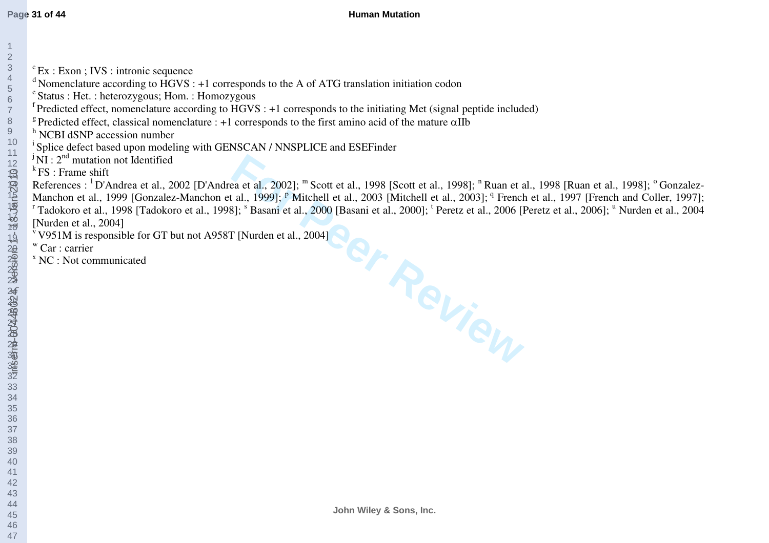- 
- <sup>d</sup> Nomenclature according to  $\angle$  HGVS : +1 corresponds to the A of ATG translation initiation codon
- $\text{ }^{\circ}$ Status : Het. : heterozygous; Hom. : Homozygous
- $\overline{f}$ Predicted effect, nomenclature according to HGVS : +1 corresponds to the initiating Met (signal peptide included)
- <sup>g</sup> Predicted effect, classical nomenclature : +1 corresponds to the first amino acid of the mature  $\alpha$ IIb
- <sup>h</sup> NCBI dSNP accession number
- <sup>i</sup> Splice defect based upon modeling with GENSCAN / NNSPLICE and ESEFinder
- $\overline{N}$  i  $\overline{N}$  : 2<sup>nd</sup> mutation not Identified
- $k$ FS : Frame shift

<sup>5</sup>Ex : Exon ; IVS : intronic sequence<br>
<sup>4</sup> Normealcature according to HGVS : +1 corresponds to the A of ATG translation initiation codon<br>
<sup>4</sup> Stedisted effect, chemelclature according to HGVS : +1 corresponds to the initi References : <sup>1</sup>D'Andrea et al., 2002 [D'Andrea et al., 2002]; <sup>m</sup> Scott et al., 1998 [Scott et al., 1998]; <sup>n</sup> Ruan et al., 1998 [Ruan et al., 1998]; <sup>o</sup> Gonzalez-Manchon et al., 1999 [Gonzalez-Manchon et al., 1999]; <sup>p</sup> Mitchell et al., 2003 [Mitchell et al., 2003]; <sup>q</sup> French et al., 1997 [French and Coller, 1997]; <sup>r</sup> Tadokoro et al., 1998 [Tadokoro et al., 1998]; <sup>s</sup> Basani et al., 2000 [Basani et al., 2000]; <sup>t</sup> Peretz et al., 2006 [Peretz et al., 2006]; <sup>u</sup> Nurden et al., 2004 [Nurden et al., 2004]

- $\overline{V}$ V951M is responsible for GT but not A958T [Nurden et al., 2004]
- w Car : carrier
- x NC : Not communicated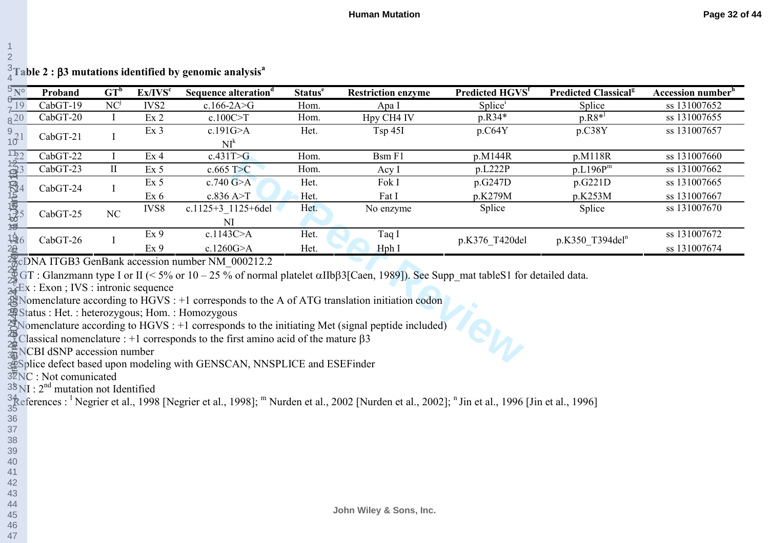|  |  |  | $\frac{3}{4}$ Table 2 : β3 mutations identified by genomic analysis $^{\text{a}}$ |  |  |  |  |
|--|--|--|-----------------------------------------------------------------------------------|--|--|--|--|
|--|--|--|-----------------------------------------------------------------------------------|--|--|--|--|

| $\frac{5}{6}$ N°<br>NC <sup>j</sup><br>Splice <sup>i</sup><br>19<br>CabGT-19<br>IVS2<br>$c.166 - 2A > G$<br>ss 131007652<br>Splice<br>Hom.<br>Apa I<br>$p.R8*^l$<br>c.100C > T<br>$8^{20}$<br>Hpy CH4 IV<br>p.R34*<br>Ex <sub>2</sub><br>ss 131007655<br>$CabGT-20$<br>Hom.<br>T<br>c.191G>A<br>Tsp 45I<br>p.C64Y<br>ss 131007657<br>Ex <sub>3</sub><br>p.C38Y<br>Het.<br>$\frac{9}{10}$ <sup>21</sup><br>CabGT-21<br>I<br>NI <sup>k</sup><br>CabGT-22<br>Hom.<br>p.M144R<br>ss 131007660<br>$\mathbf I$<br>Ex 4<br>c.431T>G<br>p.M118R<br>Bsm F1<br>CabGT-23<br>$\mathbf{I}$<br>p.L222P<br>p.L196P <sup>m</sup><br>ss 131007662<br>Ex <sub>5</sub><br>$c.665$ T $>C$<br>Hom.<br>Acy I<br>p.G247D<br>ss 131007665<br>p.G221D<br>Ex <sub>5</sub><br>c.740 G > A<br>Het.<br>Fok I<br>CabGT-24<br>$\bf{l}$<br>c.836 A > T<br>p.K279M<br>p.K253M<br>ss 131007667<br>$Ex\ 6$<br>Het.<br>Fat I<br>c.1125+3 1125+6del<br>ss 131007670<br>IVS8<br>Het.<br>Splice<br>Splice<br>No enzyme<br>NC<br>CabGT-25<br>NI<br>c.1143C>A<br>Ex 9<br>ss 131007672<br>Het.<br>Taq I<br>CabGT-26<br>p.K376 T420del<br>p.K350 T394del <sup>n</sup><br>Ex 9<br>c.1260G > A<br>ss 131007674<br>Het.<br>Hph I<br>$\frac{20}{10}$ CDNA ITGB3 GenBank accession number NM 000212.2<br>$\frac{36}{5}$ GT : Glanzmann type I or II (< 5% or 10 – 25 % of normal platelet $\alpha$ IIb $\beta$ 3[Caen, 1989]). See Supp_mat table S1 for detailed data.<br>$\frac{1}{24}$ Ex : Exon ; IVS : intronic sequence<br>$\frac{1}{28}$ Nomenclature according to HGVS : +1 corresponds to the A of ATG translation initiation codon<br>status : Het. : heterozygous; Hom. : Homozygous<br>$\frac{1}{24}$ Classical nomenclature : +1 corresponds to the first amino acid of the mature $\beta$ 3<br>$\frac{4\pi}{3\pi}$ NCBI dSNP accession number |  |  |  |  |  |  |  |  |  |  |
|-------------------------------------------------------------------------------------------------------------------------------------------------------------------------------------------------------------------------------------------------------------------------------------------------------------------------------------------------------------------------------------------------------------------------------------------------------------------------------------------------------------------------------------------------------------------------------------------------------------------------------------------------------------------------------------------------------------------------------------------------------------------------------------------------------------------------------------------------------------------------------------------------------------------------------------------------------------------------------------------------------------------------------------------------------------------------------------------------------------------------------------------------------------------------------------------------------------------------------------------------------------------------------------------------------------------------------------------------------------------------------------------------------------------------------------------------------------------------------------------------------------------------------------------------------------------------------------------------------------------------------------------------------------------------------------------------------------------------------------------------------------------------------------------------------------|--|--|--|--|--|--|--|--|--|--|
|                                                                                                                                                                                                                                                                                                                                                                                                                                                                                                                                                                                                                                                                                                                                                                                                                                                                                                                                                                                                                                                                                                                                                                                                                                                                                                                                                                                                                                                                                                                                                                                                                                                                                                                                                                                                             |  |  |  |  |  |  |  |  |  |  |
|                                                                                                                                                                                                                                                                                                                                                                                                                                                                                                                                                                                                                                                                                                                                                                                                                                                                                                                                                                                                                                                                                                                                                                                                                                                                                                                                                                                                                                                                                                                                                                                                                                                                                                                                                                                                             |  |  |  |  |  |  |  |  |  |  |
| [22]<br><b>传统画</b> 4<br>传播<br>126<br>$2\theta$<br>$\mathbb{Z}$ Nomenclature according to HGVS : +1 corresponds to the initiating Met (signal peptide included)<br>34 Splice defect based upon modeling with GENSCAN, NNSPLICE and ESEFinder<br>32NC : Not comunicated                                                                                                                                                                                                                                                                                                                                                                                                                                                                                                                                                                                                                                                                                                                                                                                                                                                                                                                                                                                                                                                                                                                                                                                                                                                                                                                                                                                                                                                                                                                                       |  |  |  |  |  |  |  |  |  |  |
|                                                                                                                                                                                                                                                                                                                                                                                                                                                                                                                                                                                                                                                                                                                                                                                                                                                                                                                                                                                                                                                                                                                                                                                                                                                                                                                                                                                                                                                                                                                                                                                                                                                                                                                                                                                                             |  |  |  |  |  |  |  |  |  |  |
|                                                                                                                                                                                                                                                                                                                                                                                                                                                                                                                                                                                                                                                                                                                                                                                                                                                                                                                                                                                                                                                                                                                                                                                                                                                                                                                                                                                                                                                                                                                                                                                                                                                                                                                                                                                                             |  |  |  |  |  |  |  |  |  |  |
|                                                                                                                                                                                                                                                                                                                                                                                                                                                                                                                                                                                                                                                                                                                                                                                                                                                                                                                                                                                                                                                                                                                                                                                                                                                                                                                                                                                                                                                                                                                                                                                                                                                                                                                                                                                                             |  |  |  |  |  |  |  |  |  |  |
|                                                                                                                                                                                                                                                                                                                                                                                                                                                                                                                                                                                                                                                                                                                                                                                                                                                                                                                                                                                                                                                                                                                                                                                                                                                                                                                                                                                                                                                                                                                                                                                                                                                                                                                                                                                                             |  |  |  |  |  |  |  |  |  |  |
|                                                                                                                                                                                                                                                                                                                                                                                                                                                                                                                                                                                                                                                                                                                                                                                                                                                                                                                                                                                                                                                                                                                                                                                                                                                                                                                                                                                                                                                                                                                                                                                                                                                                                                                                                                                                             |  |  |  |  |  |  |  |  |  |  |
|                                                                                                                                                                                                                                                                                                                                                                                                                                                                                                                                                                                                                                                                                                                                                                                                                                                                                                                                                                                                                                                                                                                                                                                                                                                                                                                                                                                                                                                                                                                                                                                                                                                                                                                                                                                                             |  |  |  |  |  |  |  |  |  |  |
|                                                                                                                                                                                                                                                                                                                                                                                                                                                                                                                                                                                                                                                                                                                                                                                                                                                                                                                                                                                                                                                                                                                                                                                                                                                                                                                                                                                                                                                                                                                                                                                                                                                                                                                                                                                                             |  |  |  |  |  |  |  |  |  |  |
|                                                                                                                                                                                                                                                                                                                                                                                                                                                                                                                                                                                                                                                                                                                                                                                                                                                                                                                                                                                                                                                                                                                                                                                                                                                                                                                                                                                                                                                                                                                                                                                                                                                                                                                                                                                                             |  |  |  |  |  |  |  |  |  |  |
|                                                                                                                                                                                                                                                                                                                                                                                                                                                                                                                                                                                                                                                                                                                                                                                                                                                                                                                                                                                                                                                                                                                                                                                                                                                                                                                                                                                                                                                                                                                                                                                                                                                                                                                                                                                                             |  |  |  |  |  |  |  |  |  |  |
|                                                                                                                                                                                                                                                                                                                                                                                                                                                                                                                                                                                                                                                                                                                                                                                                                                                                                                                                                                                                                                                                                                                                                                                                                                                                                                                                                                                                                                                                                                                                                                                                                                                                                                                                                                                                             |  |  |  |  |  |  |  |  |  |  |
|                                                                                                                                                                                                                                                                                                                                                                                                                                                                                                                                                                                                                                                                                                                                                                                                                                                                                                                                                                                                                                                                                                                                                                                                                                                                                                                                                                                                                                                                                                                                                                                                                                                                                                                                                                                                             |  |  |  |  |  |  |  |  |  |  |
|                                                                                                                                                                                                                                                                                                                                                                                                                                                                                                                                                                                                                                                                                                                                                                                                                                                                                                                                                                                                                                                                                                                                                                                                                                                                                                                                                                                                                                                                                                                                                                                                                                                                                                                                                                                                             |  |  |  |  |  |  |  |  |  |  |
|                                                                                                                                                                                                                                                                                                                                                                                                                                                                                                                                                                                                                                                                                                                                                                                                                                                                                                                                                                                                                                                                                                                                                                                                                                                                                                                                                                                                                                                                                                                                                                                                                                                                                                                                                                                                             |  |  |  |  |  |  |  |  |  |  |
|                                                                                                                                                                                                                                                                                                                                                                                                                                                                                                                                                                                                                                                                                                                                                                                                                                                                                                                                                                                                                                                                                                                                                                                                                                                                                                                                                                                                                                                                                                                                                                                                                                                                                                                                                                                                             |  |  |  |  |  |  |  |  |  |  |
|                                                                                                                                                                                                                                                                                                                                                                                                                                                                                                                                                                                                                                                                                                                                                                                                                                                                                                                                                                                                                                                                                                                                                                                                                                                                                                                                                                                                                                                                                                                                                                                                                                                                                                                                                                                                             |  |  |  |  |  |  |  |  |  |  |
|                                                                                                                                                                                                                                                                                                                                                                                                                                                                                                                                                                                                                                                                                                                                                                                                                                                                                                                                                                                                                                                                                                                                                                                                                                                                                                                                                                                                                                                                                                                                                                                                                                                                                                                                                                                                             |  |  |  |  |  |  |  |  |  |  |
|                                                                                                                                                                                                                                                                                                                                                                                                                                                                                                                                                                                                                                                                                                                                                                                                                                                                                                                                                                                                                                                                                                                                                                                                                                                                                                                                                                                                                                                                                                                                                                                                                                                                                                                                                                                                             |  |  |  |  |  |  |  |  |  |  |
|                                                                                                                                                                                                                                                                                                                                                                                                                                                                                                                                                                                                                                                                                                                                                                                                                                                                                                                                                                                                                                                                                                                                                                                                                                                                                                                                                                                                                                                                                                                                                                                                                                                                                                                                                                                                             |  |  |  |  |  |  |  |  |  |  |
|                                                                                                                                                                                                                                                                                                                                                                                                                                                                                                                                                                                                                                                                                                                                                                                                                                                                                                                                                                                                                                                                                                                                                                                                                                                                                                                                                                                                                                                                                                                                                                                                                                                                                                                                                                                                             |  |  |  |  |  |  |  |  |  |  |
| $38$ <sub>NI</sub> : $2^{nd}$ mutation not Identified                                                                                                                                                                                                                                                                                                                                                                                                                                                                                                                                                                                                                                                                                                                                                                                                                                                                                                                                                                                                                                                                                                                                                                                                                                                                                                                                                                                                                                                                                                                                                                                                                                                                                                                                                       |  |  |  |  |  |  |  |  |  |  |
| $\frac{34}{35}$ eferences : <sup>1</sup> Negrier et al., 1998 [Negrier et al., 1998]; <sup>m</sup> Nurden et al., 2002 [Nurden et al., 2002]; <sup>n</sup> Jin et al., 1996 [Jin et al., 1996]                                                                                                                                                                                                                                                                                                                                                                                                                                                                                                                                                                                                                                                                                                                                                                                                                                                                                                                                                                                                                                                                                                                                                                                                                                                                                                                                                                                                                                                                                                                                                                                                              |  |  |  |  |  |  |  |  |  |  |
|                                                                                                                                                                                                                                                                                                                                                                                                                                                                                                                                                                                                                                                                                                                                                                                                                                                                                                                                                                                                                                                                                                                                                                                                                                                                                                                                                                                                                                                                                                                                                                                                                                                                                                                                                                                                             |  |  |  |  |  |  |  |  |  |  |
|                                                                                                                                                                                                                                                                                                                                                                                                                                                                                                                                                                                                                                                                                                                                                                                                                                                                                                                                                                                                                                                                                                                                                                                                                                                                                                                                                                                                                                                                                                                                                                                                                                                                                                                                                                                                             |  |  |  |  |  |  |  |  |  |  |
|                                                                                                                                                                                                                                                                                                                                                                                                                                                                                                                                                                                                                                                                                                                                                                                                                                                                                                                                                                                                                                                                                                                                                                                                                                                                                                                                                                                                                                                                                                                                                                                                                                                                                                                                                                                                             |  |  |  |  |  |  |  |  |  |  |
|                                                                                                                                                                                                                                                                                                                                                                                                                                                                                                                                                                                                                                                                                                                                                                                                                                                                                                                                                                                                                                                                                                                                                                                                                                                                                                                                                                                                                                                                                                                                                                                                                                                                                                                                                                                                             |  |  |  |  |  |  |  |  |  |  |
| 40<br>41                                                                                                                                                                                                                                                                                                                                                                                                                                                                                                                                                                                                                                                                                                                                                                                                                                                                                                                                                                                                                                                                                                                                                                                                                                                                                                                                                                                                                                                                                                                                                                                                                                                                                                                                                                                                    |  |  |  |  |  |  |  |  |  |  |
| 42                                                                                                                                                                                                                                                                                                                                                                                                                                                                                                                                                                                                                                                                                                                                                                                                                                                                                                                                                                                                                                                                                                                                                                                                                                                                                                                                                                                                                                                                                                                                                                                                                                                                                                                                                                                                          |  |  |  |  |  |  |  |  |  |  |
| 43                                                                                                                                                                                                                                                                                                                                                                                                                                                                                                                                                                                                                                                                                                                                                                                                                                                                                                                                                                                                                                                                                                                                                                                                                                                                                                                                                                                                                                                                                                                                                                                                                                                                                                                                                                                                          |  |  |  |  |  |  |  |  |  |  |
| 44<br>John Wiley & Sons, Inc.                                                                                                                                                                                                                                                                                                                                                                                                                                                                                                                                                                                                                                                                                                                                                                                                                                                                                                                                                                                                                                                                                                                                                                                                                                                                                                                                                                                                                                                                                                                                                                                                                                                                                                                                                                               |  |  |  |  |  |  |  |  |  |  |
| 45<br>46                                                                                                                                                                                                                                                                                                                                                                                                                                                                                                                                                                                                                                                                                                                                                                                                                                                                                                                                                                                                                                                                                                                                                                                                                                                                                                                                                                                                                                                                                                                                                                                                                                                                                                                                                                                                    |  |  |  |  |  |  |  |  |  |  |
|                                                                                                                                                                                                                                                                                                                                                                                                                                                                                                                                                                                                                                                                                                                                                                                                                                                                                                                                                                                                                                                                                                                                                                                                                                                                                                                                                                                                                                                                                                                                                                                                                                                                                                                                                                                                             |  |  |  |  |  |  |  |  |  |  |

1 2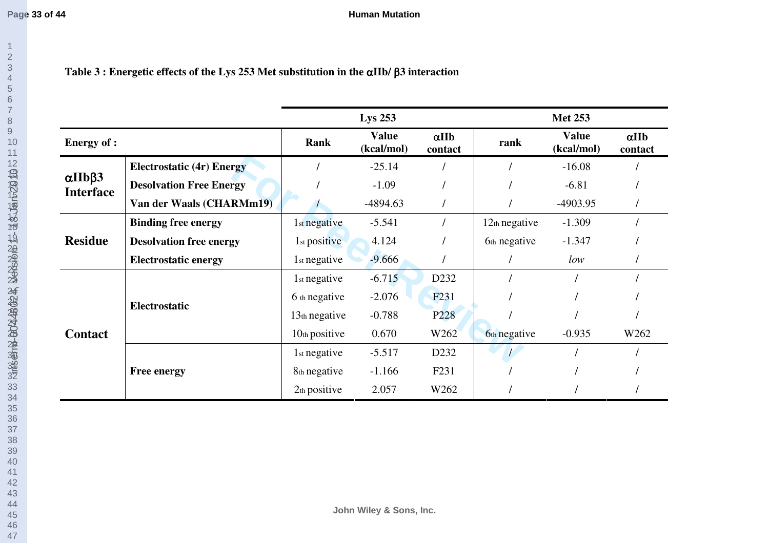**Page 33 of 44**

**Human Mutation**

## **Table 3 : Energetic effects of the Lys 253 Met substitution in the** α**IIb/** β**3 interaction**

|                                            |                                  | <b>Lys 253</b>           |                            |                         | <b>Met 253</b>  |                            |                         |
|--------------------------------------------|----------------------------------|--------------------------|----------------------------|-------------------------|-----------------|----------------------------|-------------------------|
| <b>Energy of :</b>                         |                                  | Rank                     | <b>Value</b><br>(kcal/mol) | $\alpha$ IIb<br>contact | rank            | <b>Value</b><br>(kcal/mol) | $\alpha$ IIb<br>contact |
|                                            | <b>Electrostatic (4r) Energy</b> |                          | $-25.14$                   |                         |                 | $-16.08$                   |                         |
| $\alpha$ IIb $\beta$ 3<br><b>Interface</b> | <b>Desolvation Free Energy</b>   |                          | $-1.09$                    |                         |                 | $-6.81$                    |                         |
|                                            | Van der Waals (CHARMm19)         |                          | $-4894.63$                 |                         |                 | $-4903.95$                 |                         |
|                                            | <b>Binding free energy</b>       | 1 <sub>st</sub> negative | $-5.541$                   |                         | $12th$ negative | $-1.309$                   |                         |
| <b>Residue</b>                             | <b>Desolvation free energy</b>   | 1 <sub>st</sub> positive | 4.124                      |                         | 6th negative    | $-1.347$                   |                         |
|                                            | <b>Electrostatic energy</b>      | 1 <sub>st</sub> negative | $-9.666$                   |                         |                 | low                        |                         |
|                                            |                                  | 1 <sub>st</sub> negative | $-6.715$                   | D <sub>2</sub> 32       |                 |                            |                         |
|                                            |                                  | 6 th negative            | $-2.076$                   | F <sub>231</sub>        |                 |                            |                         |
|                                            | Electrostatic                    | 13th negative            | $-0.788$                   | P <sub>228</sub>        |                 |                            |                         |
| <b>Contact</b>                             |                                  | $10th$ positive          | 0.670                      | W262                    | 6th negative    | $-0.935$                   | W262                    |
|                                            |                                  | 1 <sub>st</sub> negative | $-5.517$                   | D <sub>232</sub>        |                 |                            |                         |
|                                            | <b>Free energy</b>               | 8th negative             | $-1.166$                   | F <sub>231</sub>        |                 |                            |                         |
|                                            |                                  | 2 <sub>th</sub> positive | 2.057                      | W262                    |                 |                            |                         |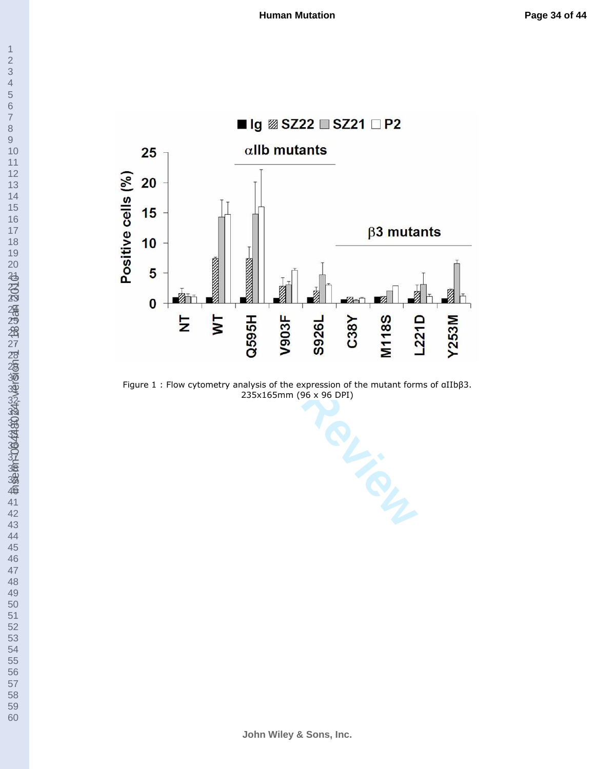



Figure 1 : Flow cytometry analysis of the expression of the mutant forms of αIIbβ3. 235x165mm (96 x 96 DPI)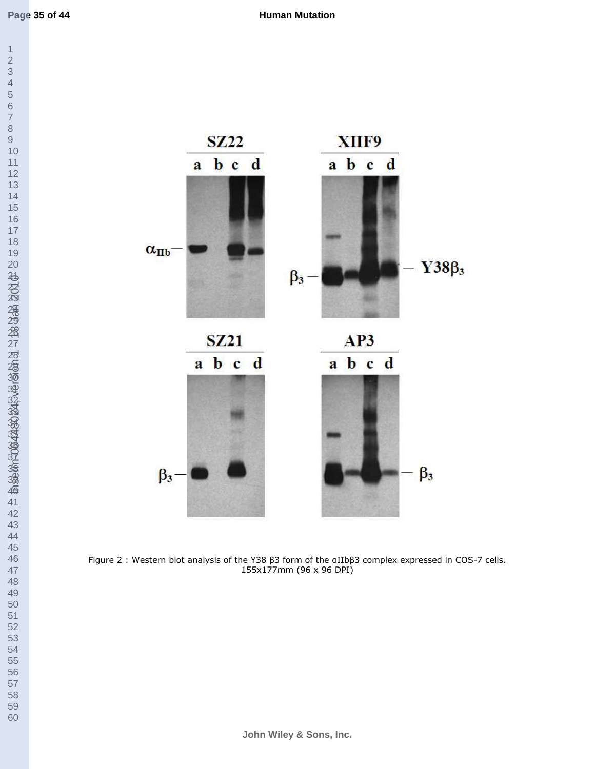

Figure 2 : Western blot analysis of the Y38 β3 form of the αIIbβ3 complex expressed in COS-7 cells. 155x177mm (96 x 96 DPI)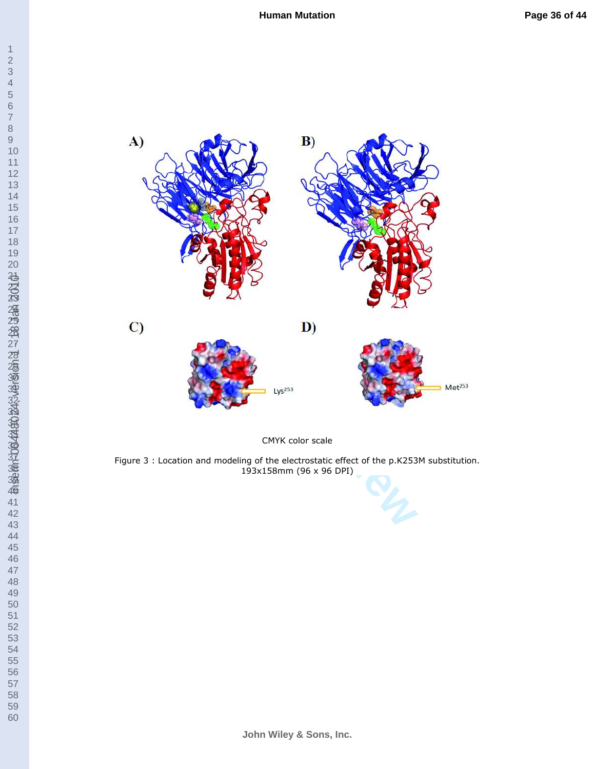



CMYK color scale

Figure 3 : Location and modeling of the electrostatic effect of the p.K253M substitution. 193x158mm (96 x 96 DPI)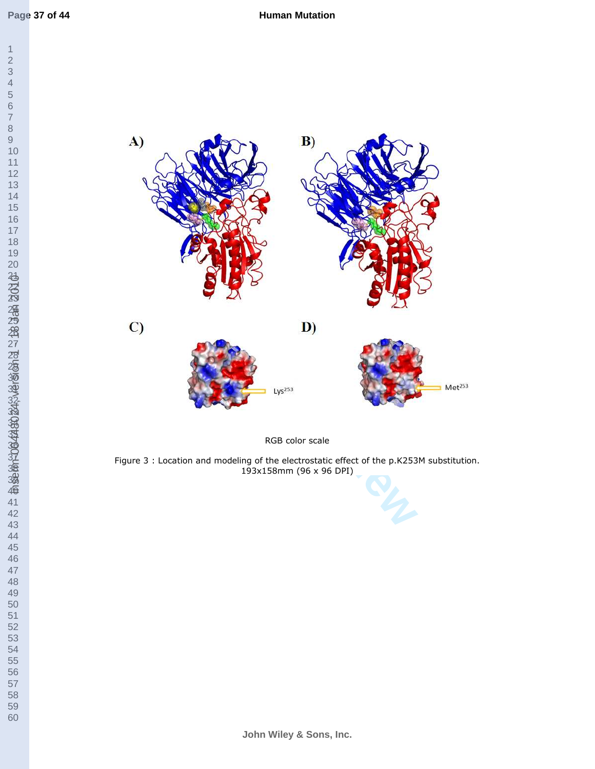



RGB color scale

Figure 3 : Location and modeling of the electrostatic effect of the p.K253M substitution. 193x158mm (96 x 96 DPI)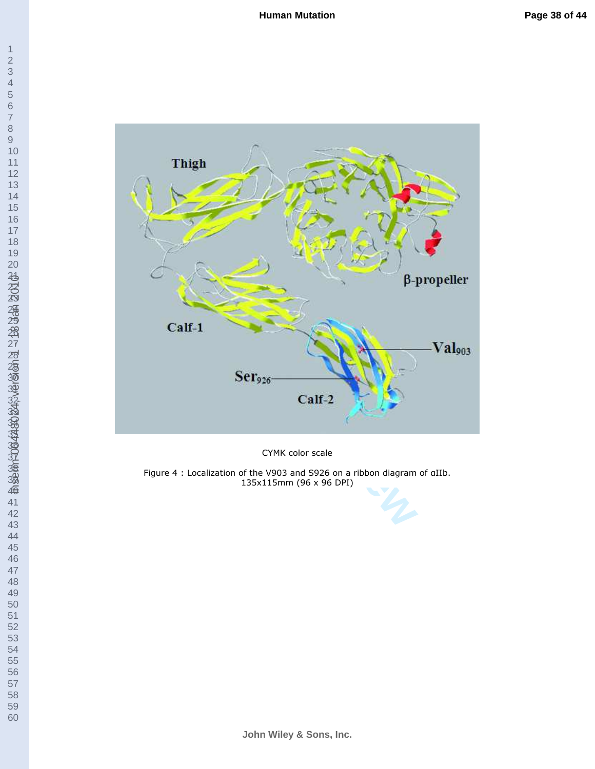



CYMK color scale

Figure 4 : Localization of the V903 and S926 on a ribbon diagram of αIIb. 135x115mm (96 x 96 DPI)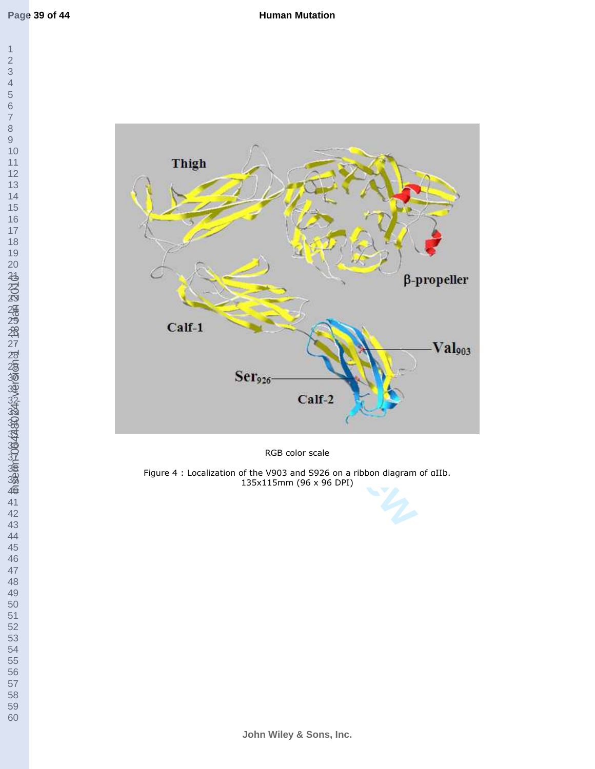

RGB color scale

Figure 4 : Localization of the V903 and S926 on a ribbon diagram of αIIb. 135x115mm (96 x 96 DPI)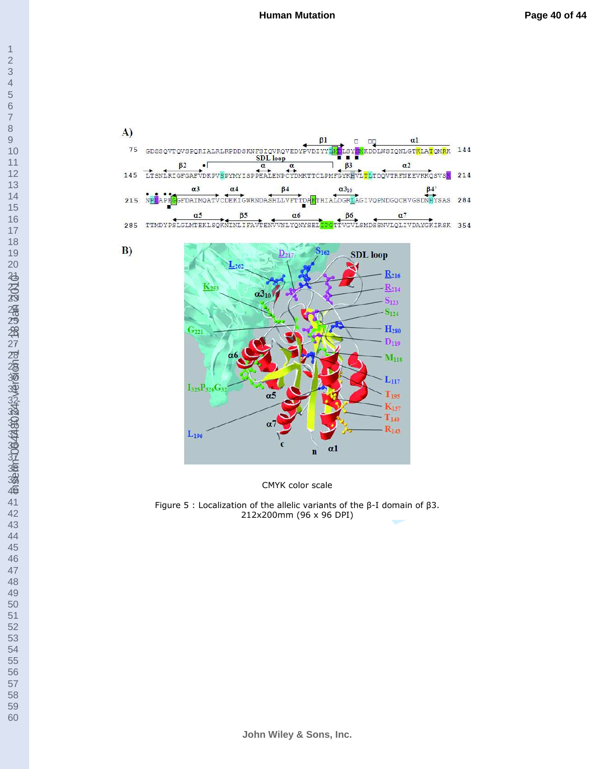

CMYK color scale

Figure 5 : Localization of the allelic variants of the β-I domain of β3. 212x200mm (96 x 96 DPI)